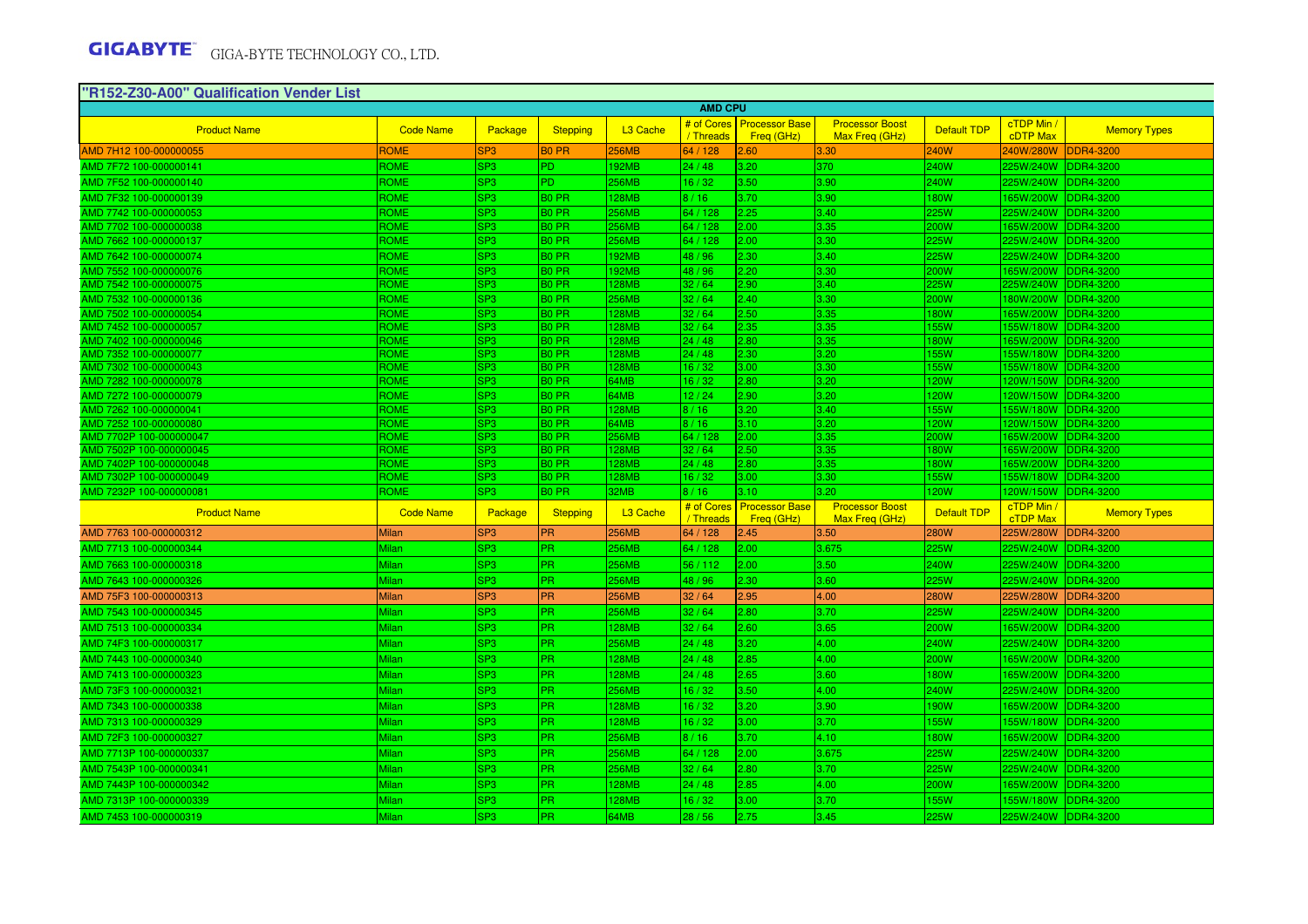| "R152-Z30-A00" Qualification Vender List        |                     |                                    |                                        |                      |                        |                                           |                                          |                     |                               |                               |
|-------------------------------------------------|---------------------|------------------------------------|----------------------------------------|----------------------|------------------------|-------------------------------------------|------------------------------------------|---------------------|-------------------------------|-------------------------------|
|                                                 |                     |                                    |                                        |                      | <b>AMD CPU</b>         |                                           |                                          |                     |                               |                               |
| <b>Product Name</b>                             | <b>Code Name</b>    | Package                            | <b>Stepping</b>                        | L <sub>3</sub> Cache | / Threads              | # of Cores   Processor Base<br>Freq (GHz) | <b>Processor Boost</b><br>Max Freq (GHz) | <b>Default TDP</b>  | cTDP Min /<br><b>cDTP Max</b> | <b>Memory Types</b>           |
| AMD 7H12 100-000000055                          | <b>ROME</b>         | SP <sub>3</sub>                    | <b>BO PR</b>                           | <b>256MB</b>         | 64 / 128               | 2.60                                      | 3.30                                     | 240W                | 240W/280W                     | <b>DDR4-3200</b>              |
| AMD 7F72 100-000000141                          | ROME                | SP <sub>3</sub>                    | PD.                                    | <b>192MB</b>         | 24/48                  | 3.20                                      | 370                                      | <b>240W</b>         | 225W/240W                     | <b>DDR4-3200</b>              |
| AMD 7F52 100-000000140                          | <b>ROME</b>         | SP <sub>3</sub>                    | PD.                                    | <b>256MB</b>         | 16/32                  | 3.50                                      | 3.90                                     | 240W                | 225W/240W                     | <b>DDR4-3200</b>              |
| AMD 7F32 100-000000139                          | <b>ROME</b>         | SP <sub>3</sub>                    | <b>BO PR</b>                           | <b>128MB</b>         | 8/16                   | 3.70                                      | 3.90                                     | <b>180W</b>         | 165W/200W                     | <b>DDR4-3200</b>              |
| AMD 7742 100-000000053                          | ROME                | SP <sub>3</sub>                    | <b>BO PR</b>                           | 256MB                | 64 / 128               | 2.25                                      | 3.40                                     | 225W                | 225W/240W                     | <b>DDR4-3200</b>              |
| AMD 7702 100-000000038                          | ROME                | SP <sub>3</sub>                    | $B0$ PR                                | <b>256MB</b>         | 64 / 128               | 2.00                                      | 3.35                                     | 200W                | 165W/200W                     | <b>DDR4-3200</b>              |
| AMD 7662 100-000000137                          | ROME                | SP <sub>3</sub>                    | <b>BO PR</b>                           | <b>256MB</b>         | 64 / 128               | 2.00                                      | 3.30                                     | 225W                | 225W/240W                     | <b>DDR4-3200</b>              |
| AMD 7642 100-000000074                          | <b>ROME</b>         | SP <sub>3</sub>                    | B0 PR                                  | <b>192MB</b>         | 48 / 96                | 2.30                                      | 3.40                                     | 225W                | 225W/240W                     | <b>DDR4-3200</b>              |
| AMD 7552 100-000000076                          | ROME                | SP <sub>3</sub>                    | <b>BO PR</b>                           | <b>192MB</b>         | 48 / 96                | 2.20                                      | 3.30                                     | 200W                | 165W/200W                     | <b>DDR4-3200</b>              |
| AMD 7542 100-000000075                          | ROME                | SP <sub>3</sub>                    | $B0$ PR                                | <b>128MB</b>         | 32/64                  | 2.90                                      | 3.40                                     | 225W                | 225W/240W                     | DDR4-3200                     |
| AMD 7532 100-000000136                          | ROME                | SP <sub>3</sub>                    | B <sub>0</sub> PR                      | <b>256MB</b>         | 32/64                  | 2.40                                      | 3.30                                     | 200W                | 180W/200W                     | <b>DDR4-3200</b>              |
| AMD 7502 100-000000054                          | ROME                | SP <sub>3</sub>                    | <b>BO PR</b>                           | <b>128MB</b>         | 32/64                  | 2.50                                      | 3.35                                     | 180W                | 165W/200W                     | DDR4-3200                     |
| AMD 7452 100-000000057                          | ROME                | SP3                                | B <sub>0</sub> PR                      | <b>128MB</b>         | 32/64                  | 2.35                                      | 3.35                                     | <b>155W</b>         | 155W/180W                     | <b>DDR4-3200</b>              |
| MD 7402 100-000000046                           | ROME                | SP3                                | <b>BO PR</b>                           | <b>128MB</b>         | 24/48                  | 2.80                                      | 3.35                                     | <b>180W</b>         | 165W/200W                     | <b>DDR4-3200</b>              |
| AMD 7352 100-000000077                          | ROME                | SP <sub>3</sub>                    | <b>BO PR</b>                           | <b>128MB</b>         | 24/48                  | 2.30                                      | 3.20                                     | 155W                | 55W/180W                      | DDR4-3200                     |
| AMD 7302 100-000000043                          | ROME                | SP <sub>3</sub>                    | B <sub>0</sub> PR                      | <b>128MB</b>         | 16/32                  | 3.00                                      | 3.30                                     | <b>155W</b>         | 155W/180W                     | <b>DDR4-3200</b>              |
| AMD 7282 100-000000078                          | ROME                | SP <sub>3</sub>                    | B <sub>0</sub> PR                      | 64MB                 | 16/32                  | 2.80                                      | 3.20                                     | 120W                |                               | 120W/150W DDR4-3200           |
| AMD 7272 100-000000079                          | <b>ROME</b><br>ROME | SP <sub>3</sub>                    | B0 PR                                  | 64MB                 | 12/24                  | 2.90                                      | 3.20                                     | 120W                | 120W/150W                     | <b>DDR4-3200</b>              |
| MD 7262 100-000000041<br>AMD 7252 100-000000080 | ROME                | SP <sub>3</sub><br>SP <sub>3</sub> | B <sub>0</sub> PR<br>B <sub>0</sub> PR | 128MB<br>64MB        | 8/16<br>8/16           | 3.20<br>3.10                              | 3.40<br>3.20                             | <b>155W</b><br>120W | 155W/180W<br>120W/150W        | <b>DDR4-3200</b><br>DDR4-3200 |
| AMD 7702P 100-000000047                         | ROME                | SP <sub>3</sub>                    | B <sub>0</sub> PR                      | <b>256MB</b>         | 64 / 128               | 2.00                                      | 3.35                                     | 200W                | 165W/200W                     | <b>DDR4-3200</b>              |
| MD 7502P 100-000000045                          | ROME                | SP <sub>3</sub>                    | B <sub>0</sub> PR                      | <b>128MB</b>         | 32/64                  | 2.50                                      | 3.35                                     | <b>80W</b>          | 165W/200W                     | <b>DDR4-3200</b>              |
| AMD 7402P 100-000000048                         | ROME                | SP <sub>3</sub>                    | <b>BO PR</b>                           | <b>128MB</b>         | 24/48                  | 2.80                                      | 3.35                                     | 180W                | 165W/200W                     | DDR4-3200                     |
| AMD 7302P 100-000000049                         | ROME                | SP <sub>3</sub>                    | <b>BO PR</b>                           | <b>128MB</b>         | 16/32                  | 3.00                                      | 3.30                                     | 155W                |                               | 155W/180W DDR4-3200           |
| AMD 7232P 100-000000081                         | <b>ROME</b>         | SP <sub>3</sub>                    | B <sub>0</sub> PR                      | 32MB                 | 8/16                   | 3.10                                      | 3.20                                     | 120W                | 120W/150W                     | <b>DDR4-3200</b>              |
| <b>Product Name</b>                             | <b>Code Name</b>    | Package                            | <b>Stepping</b>                        | L <sub>3</sub> Cache | # of Cores<br>/Threads | <b>Processor Base</b><br>Freq (GHz)       | <b>Processor Boost</b><br>Max Freq (GHz) | <b>Default TDP</b>  | cTDP Min /<br><b>cTDP Max</b> | <b>Memory Types</b>           |
| AMD 7763 100-000000312                          | <b>Milan</b>        | SP <sub>3</sub>                    | <b>PR</b>                              | <b>256MB</b>         | 64 / 128               | 2.45                                      | 3.50                                     | <b>280W</b>         | 225W/280W                     | <b>DDR4-3200</b>              |
| AMD 7713 100-000000344                          | Milan               | SP <sub>3</sub>                    | PR.                                    | <b>256MB</b>         | 64 / 128               | 2.00                                      | 3.675                                    | 225W                | 225W/240W                     | <b>DDR4-3200</b>              |
| AMD 7663 100-000000318                          | <b>Milan</b>        | SP <sub>3</sub>                    | <b>PR</b>                              | <b>256MB</b>         | 56 / 112               | 2.00                                      | 3.50                                     | <b>240W</b>         | 225W/240W                     | <b>DDR4-3200</b>              |
| AMD 7643 100-000000326                          | <b>Milan</b>        | SP <sub>3</sub>                    | PR.                                    | <b>256MB</b>         | 48 / 96                | 2.30                                      | 3.60                                     | <b>225W</b>         | 225W/240W                     | <b>DDR4-3200</b>              |
| AMD 75F3 100-000000313                          | <b>Milan</b>        | SP <sub>3</sub>                    | <b>PR</b>                              | <b>256MB</b>         | 32/64                  | 2.95                                      | 4.00                                     | <b>280W</b>         | 225W/280W                     | <b>DDR4-3200</b>              |
| AMD 7543 100-000000345                          | Milan               | SP <sub>3</sub>                    | PR.                                    | 256MB                | 32/64                  | 2.80                                      | 3.70                                     | 225W                | 225W/240W                     | DDR4-3200                     |
| AMD 7513 100-000000334                          | Milan               | SP <sub>3</sub>                    | PR.                                    | 128MB                | 32/64                  | 2.60                                      | 3.65                                     | 200W                | 165W/200W                     | <b>DDR4-3200</b>              |
| AMD 74F3 100-000000317                          | Milan               | SP <sub>3</sub>                    | <b>PR</b>                              | <b>256MB</b>         | 24/48                  | 3.20                                      | 4.00                                     | <b>240W</b>         | 225W/240W                     | <b>DDR4-3200</b>              |
| AMD 7443 100-000000340                          | Milan               | SP <sub>3</sub>                    | PR.                                    | <b>128MB</b>         | 24/48                  | 2.85                                      | 4.00                                     | 200W                | 165W/200W                     | <b>DDR4-3200</b>              |
| AMD 7413 100-000000323                          | <b>Milan</b>        | SP <sub>3</sub>                    | PR.                                    | <b>128MB</b>         | 24/48                  | 2.65                                      | 3.60                                     | <b>180W</b>         | 165W/200W                     | <b>DDR4-3200</b>              |
| AMD 73F3 100-000000321                          | <b>Milan</b>        | SP <sub>3</sub>                    | PR.                                    | <b>256MB</b>         | 16/32                  | 3.50                                      | 4.00                                     | <b>240W</b>         | 225W/240W                     | <b>DDR4-3200</b>              |
|                                                 |                     | SP <sub>3</sub>                    | PR.                                    |                      | 16/32                  | 3.20                                      | 3.90                                     | 190W                |                               | <b>DDR4-3200</b>              |
| AMD 7343 100-000000338                          | Milan               |                                    |                                        | <b>128MB</b>         |                        |                                           |                                          |                     | 165W/200W                     |                               |
| AMD 7313 100-000000329                          | Milan               | SP <sub>3</sub>                    | PR                                     | <b>128MB</b>         | 16/32                  | 3.00                                      | 3.70                                     | 155W                | 155W/180W                     | <b>DDR4-3200</b>              |
| AMD 72F3 100-000000327                          | Milan               | SP <sub>3</sub>                    | PR.                                    | <b>256MB</b>         | 8/16                   | 3.70                                      | 4.10                                     | 180W                | 165W/200W                     | <b>DDR4-3200</b>              |
| AMD 7713P 100-000000337                         | <b>Milan</b>        | SP <sub>3</sub>                    | PR.                                    | <b>256MB</b>         | 64 / 128               | 2.00                                      | 3.675                                    | <b>225W</b>         | 225W/240W                     | <b>DDR4-3200</b>              |
| AMD 7543P 100-000000341                         | <b>Milan</b>        | SP <sub>3</sub>                    | PR.                                    | <b>256MB</b>         | 32/64                  | 2.80                                      | 3.70                                     | <b>225W</b>         | 225W/240W                     | <b>DDR4-3200</b>              |
| AMD 7443P 100-000000342                         | <b>Milan</b>        | SP <sub>3</sub>                    | PR.                                    | <b>128MB</b>         | 24/48                  | 2.85                                      | 4.00                                     | 200W                | 165W/200W                     | <b>DDR4-3200</b>              |
| AMD 7313P 100-000000339                         | Milan               | SP <sub>3</sub>                    | PR.                                    | <b>128MB</b>         | 16/32                  | 3.00                                      | 3.70                                     | <b>155W</b>         | 55W/180W                      | <b>DDR4-3200</b>              |
| AMD 7453 100-000000319                          | Milan               | SP <sub>3</sub>                    | PR.                                    | 64MB                 | 28/56                  | 2.75                                      | 3.45                                     | 225W                | 225W/240W                     | <b>DDR4-3200</b>              |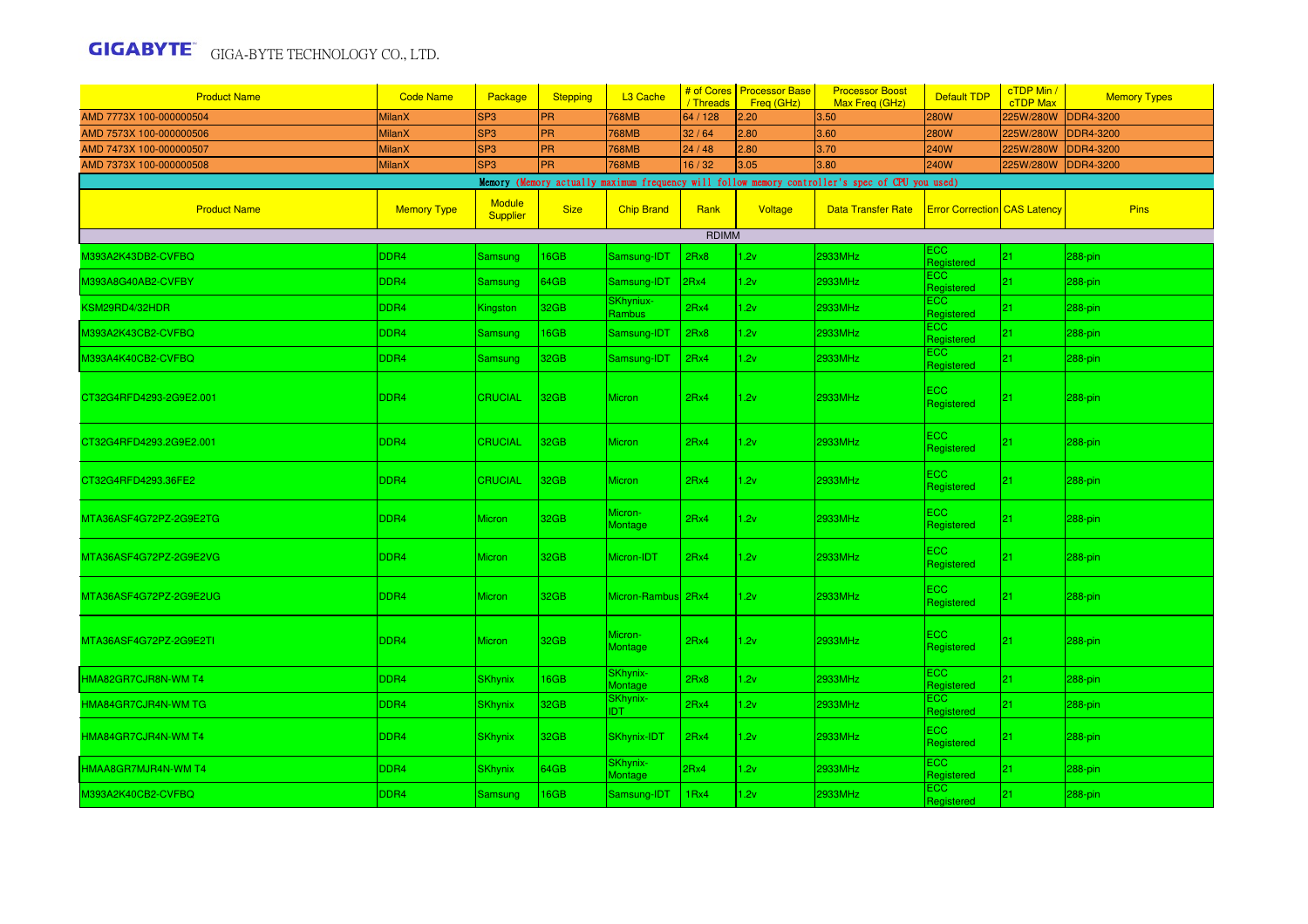| <b>Product Name</b>     | <b>Code Name</b>   | Package                          | <b>Stepping</b> | L3 Cache                   | # of Cores<br>/ Threads | <b>Processor Base</b><br>Freg (GHz) | <b>Processor Boost</b><br>Max Freq (GHz)                                                        | <b>Default TDP</b>                  | cTDP Min /<br><b>cTDP Max</b> | <b>Memory Types</b> |
|-------------------------|--------------------|----------------------------------|-----------------|----------------------------|-------------------------|-------------------------------------|-------------------------------------------------------------------------------------------------|-------------------------------------|-------------------------------|---------------------|
| AMD 7773X 100-000000504 | <b>MilanX</b>      | SP <sub>3</sub>                  | <b>PR</b>       | 768MB                      | 64 / 128                | 2.20                                | 3.50                                                                                            | <b>280W</b>                         | 225W/280W                     | <b>DDR4-3200</b>    |
| AMD 7573X 100-000000506 | <b>MilanX</b>      | SP <sub>3</sub>                  | <b>PR</b>       | <b>768MB</b>               | 32/64                   | 2.80                                | 3.60                                                                                            | <b>280W</b>                         | 225W/280W                     | <b>DDR4-3200</b>    |
| AMD 7473X 100-000000507 | <b>MilanX</b>      | SP <sub>3</sub>                  | <b>PR</b>       | <b>768MB</b>               | 24/48                   | 2.80                                | 3.70                                                                                            | <b>240W</b>                         | 225W/280W                     | <b>DDR4-3200</b>    |
| AMD 7373X 100-000000508 | <b>MilanX</b>      | SP <sub>3</sub>                  | <b>PR</b>       | <b>768MB</b>               | 16/32                   | 3.05                                | 3.80                                                                                            | 240W                                | 225W/280W                     | <b>DDR4-3200</b>    |
|                         |                    |                                  |                 |                            |                         |                                     | Memory (Memory actually maximum frequency will follow memory controller's spec of CPU you used) |                                     |                               |                     |
| <b>Product Name</b>     | <b>Memory Type</b> | <b>Module</b><br><b>Supplier</b> | <b>Size</b>     | <b>Chip Brand</b>          | Rank                    | Voltage                             | <b>Data Transfer Rate</b>                                                                       | <b>Error Correction</b> CAS Latency |                               | <b>Pins</b>         |
|                         |                    |                                  |                 |                            | <b>RDIMM</b>            |                                     |                                                                                                 |                                     |                               |                     |
| 4393A2K43DB2-CVFBQ      | DDR <sub>4</sub>   | Samsung                          | 6GB             | Samsung-IDT                | 2Rx8                    | 1.2v                                | 2933MHz                                                                                         | ECC.<br>Registered                  | 21                            | 288-pin             |
| M393A8G40AB2-CVFBY      | DDR4               | Samsung                          | 64GB            | Samsung-IDT                | 2Rx4                    | 1.2v                                | 2933MHz                                                                                         | ECC<br>Registered                   | 21                            | 288-pin             |
| KSM29RD4/32HDR          | DDR4               | Kingston                         | 32GB            | SKhyniux-<br><b>Rambus</b> | 2Rx4                    | 1.2v                                | 2933MHz                                                                                         | ECC<br>Registered                   | 21                            | 288-pin             |
| M393A2K43CB2-CVFBQ      | DDR <sub>4</sub>   | Samsung                          | 16GB            | Samsung-IDT                | 2Rx8                    | 1.2v                                | 2933MHz                                                                                         | ECC<br>Registered                   | 21                            | 288-pin             |
| M393A4K40CB2-CVFBQ      | DDR4               | Samsung                          | 32GB            | Samsung-IDT                | 2Rx4                    | 1.2v                                | 2933MHz                                                                                         | ECC.<br>Registered                  | 21 <sup>2</sup>               | 288-pin             |
| CT32G4RFD4293-2G9E2.001 | DDR <sub>4</sub>   | <b>CRUCIAL</b>                   | 32GB            | <b>Micron</b>              | 2Rx4                    | 1.2v                                | 2933MHz                                                                                         | ECC.<br>Registered                  | 21                            | 288-pin             |
| CT32G4RFD4293.2G9E2.001 | DDR4               | <b>CRUCIAL</b>                   | 32GB            | <b>Micron</b>              | 2Rx4                    | 1.2v                                | 2933MHz                                                                                         | $\overline{c}$<br>Registered        | 21                            | 288-pin             |
| CT32G4RFD4293.36FE2     | DDR4               | <b>CRUCIAL</b>                   | 32GB            | <b>Micron</b>              | 2Rx4                    | 1.2v                                | 2933MHz                                                                                         | <b>ECC</b><br>Registered            | 21                            | $288$ -pin          |
| MTA36ASF4G72PZ-2G9E2TG  | DDR4               | Micron                           | 32GB            | Micron-<br><b>Montage</b>  | 2Rx4                    | 1.2v                                | 2933MHz                                                                                         | ECC.<br>Registered                  | 21                            | 288-pin             |
| MTA36ASF4G72PZ-2G9E2VG  | DDR <sub>4</sub>   | <b>Micron</b>                    | 32GB            | Micron-IDT                 | 2Rx4                    | 1.2v                                | 2933MHz                                                                                         | $\overline{c}$<br>Registered        | 21                            | 288-pin             |
| MTA36ASF4G72PZ-2G9E2UG  | DDR4               | <b>Micron</b>                    | 32GB            | Micron-Rambus 2Rx4         |                         | 1.2v                                | 2933MHz                                                                                         | EC <sub>2</sub><br>Registered       | 21                            | 288-pin             |
| MTA36ASF4G72PZ-2G9E2TI  | DDR <sub>4</sub>   | <b>Micron</b>                    | 32GB            | Micron-<br>Montage         | 2Rx4                    | 1.2v                                | 2933MHz                                                                                         | <b>ECC</b><br>Registered            | 21                            | 288-pin             |
| HMA82GR7CJR8N-WM T4     | DDR4               | <b>SKhynix</b>                   | 16GB            | SKhynix-<br><b>Montage</b> | 2Rx8                    | 1.2v                                | 2933MHz                                                                                         | ECC.<br>Registered                  | 21 <sub>1</sub>               | 288-pin             |
| HMA84GR7CJR4N-WM TG     | DDR4               | <b>SKhynix</b>                   | 32GB            | SKhynix-<br>IDT.           | 2Rx4                    | 1.2v                                | 2933MHz                                                                                         | ECC<br>Registered                   | 21.                           | 288-pin             |
| HMA84GR7CJR4N-WM T4     | DDR <sub>4</sub>   | <b>SKhynix</b>                   | 32GB            | <b>SKhynix-IDT</b>         | 2Rx4                    | 1.2v                                | 2933MHz                                                                                         | ECC<br>Registered                   | 21                            | 288-pin             |
| HMAA8GR7MJR4N-WM T4     | DDR4               | <b>SKhynix</b>                   | 64GB            | SKhynix-<br>Montage        | 2Rx4                    | 1.2v                                | 2933MHz                                                                                         | ECC<br>Registered                   | 21                            | 288-pin             |
| M393A2K40CB2-CVFBQ      | DDR4               | Samsung                          | 16GB            | Samsung-IDT                | 1Rx4                    | 1.2v                                | 2933MHz                                                                                         | ECC<br>Registered                   | 21                            | 288-pin             |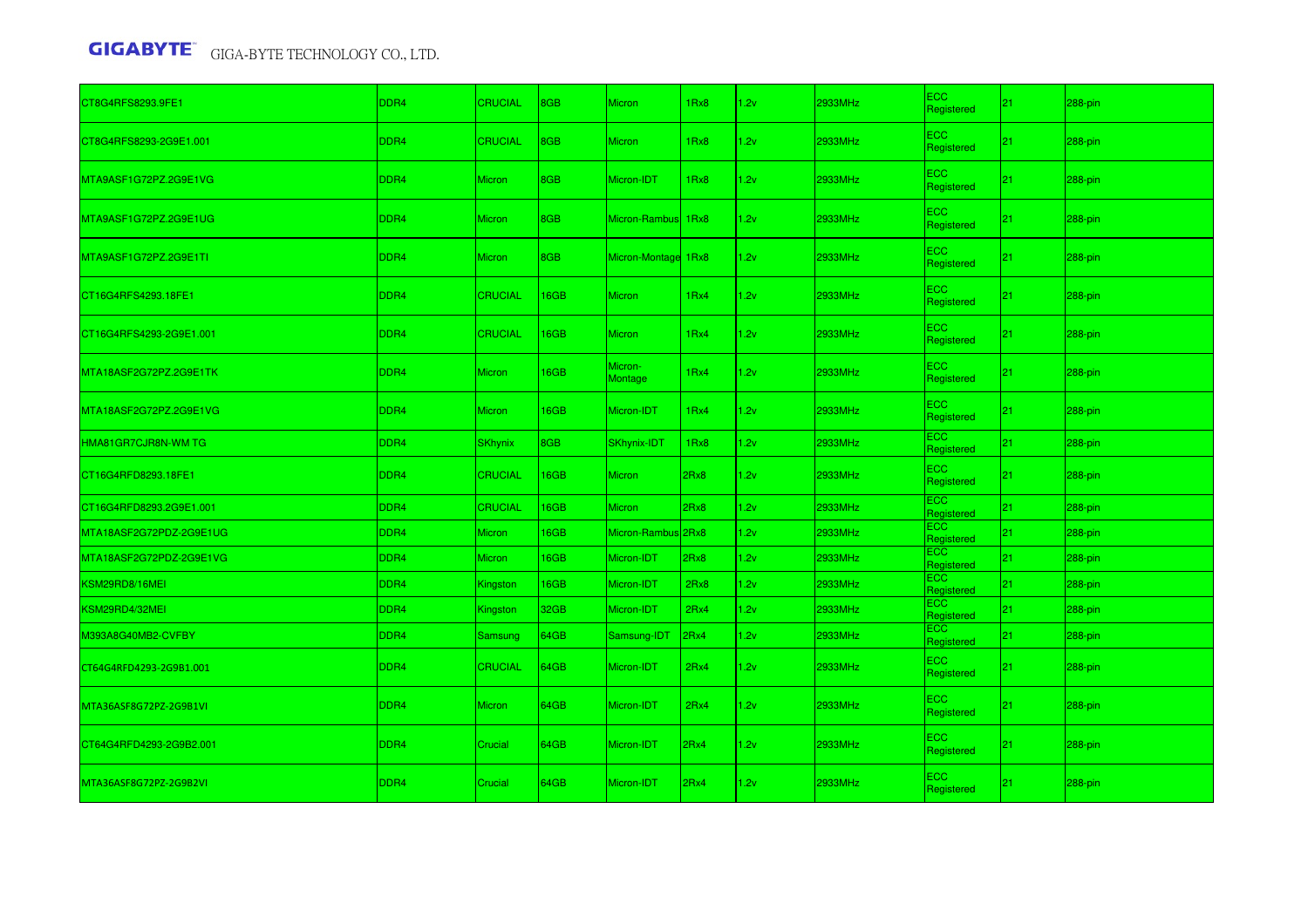| CT8G4RFS8293.9FE1       | DDR4 | <b>CRUCIAL</b> | 8GB  | <b>Micron</b>        | 1Rx8     | 1.2v | 2933MHz | <b>ECC</b><br>Registered | 21              | $288$ -pin |
|-------------------------|------|----------------|------|----------------------|----------|------|---------|--------------------------|-----------------|------------|
| CT8G4RFS8293-2G9E1.001  | DDR4 | <b>CRUCIAL</b> | 8GB  | <b>Micron</b>        | 1Rx8     | 1.2v | 2933MHz | <b>ECC</b><br>Registered | 21              | 288-pin    |
| MTA9ASF1G72PZ.2G9E1VG   | DDR4 | <b>Micron</b>  | 8GB  | Micron-IDT           | 1Rx8     | 1.2v | 2933MHz | <b>ECC</b><br>Registered | 21              | $288$ -pin |
| MTA9ASF1G72PZ.2G9E1UG   | DDR4 | <b>Micron</b>  | 8GB  | <b>Micron-Rambus</b> | 1Rx8     | 1.2v | 2933MHz | <b>ECC</b><br>Registered | 21              | $288$ -pin |
| MTA9ASF1G72PZ.2G9E1TI   | DDR4 | <b>Micron</b>  | 8GB  | Micron-Montage       | 1Rx8     | 1.2v | 2933MHz | <b>ECC</b><br>Registered | 21 <sub>2</sub> | $288$ -pin |
| CT16G4RFS4293.18FE1     | DDR4 | <b>CRUCIAL</b> | 16GB | <b>Micron</b>        | 1Rx4     | 1.2v | 2933MHz | ECC<br>Registered        | 21 <sub>2</sub> | $288$ -pin |
| CT16G4RFS4293-2G9E1.001 | DDR4 | <b>CRUCIAL</b> | 16GB | <b>Micron</b>        | 1Rx4     | 1.2v | 2933MHz | ECC<br>Registered        | 21 <sub>2</sub> | $288$ -pin |
| MTA18ASF2G72PZ.2G9E1TK  | DDR4 | Micron         | 16GB | Micron-<br>Montage   | 1Rx4     | 1.2v | 2933MHz | ECC<br>Registered        | 21 <sub>2</sub> | $288$ -pin |
| MTA18ASF2G72PZ.2G9E1VG  | DDR4 | Micron         | 16GB | Micron-IDT           | 1Rx4     | 1.2v | 2933MHz | ECC<br>Registered        | 21              | $288$ -pin |
| HMA81GR7CJR8N-WM TG     | DDR4 | <b>SKhynix</b> | 8GB  | SKhynix-IDT          | 1Rx8     | 1.2v | 2933MHz | <b>ECC</b><br>Registered | 21              | $288$ -pin |
| CT16G4RFD8293.18FE1     | DDR4 | <b>CRUCIAL</b> | 16GB | <b>Micron</b>        | 2Rx8     | 1.2v | 2933MHz | ECC<br>Registered        | 21              | $288$ -pin |
| CT16G4RFD8293.2G9E1.001 | DDR4 | <b>CRUCIAL</b> | 16GB | <b>Micron</b>        | 2Rx8     | 1.2v | 2933MHz | ECC<br>Registered        | 21              | 288-pin    |
| MTA18ASF2G72PDZ-2G9E1UG | DDR4 | <b>Micron</b>  | 16GB | Micron-Rambu         | $s$ 2Rx8 | 1.2v | 2933MHz | ECC.<br>Registered       | 21              | $288$ -pin |
| MTA18ASF2G72PDZ-2G9E1VG | DDR4 | Micron         | 16GB | Micron-IDT           | 2Rx8     | 1.2v | 2933MHz | <b>ECC</b><br>Registered | 21              | $288$ -pin |
| KSM29RD8/16MEI          | DDR4 | Kingston       | 16GB | Micron-IDT           | 2Rx8     | 1.2v | 2933MHz | <b>ECC</b><br>Registered | 21              | $288$ -pin |
| KSM29RD4/32MEI          | DDR4 | Kingston       | 32GB | Micron-IDT           | 2Rx4     | 1.2v | 2933MHz | ECC.<br>Registered       | 21              | 288-pin    |
| M393A8G40MB2-CVFBY      | DDR4 | Samsung        | 64GB | Samsung-IDT          | 2Rx4     | 1.2v | 2933MHz | <b>ECC</b><br>Registered | 21              | $288$ -pin |
| CT64G4RFD4293-2G9B1.001 | DDR4 | <b>CRUCIAL</b> | 64GB | Micron-IDT           | 2Rx4     | 1.2v | 2933MHz | ECC.<br>Registered       | 21              | 288-pin    |
| MTA36ASF8G72PZ-2G9B1VI  | DDR4 | <b>Micron</b>  | 64GB | Micron-IDT           | 2Rx4     | 1.2v | 2933MHz | ECC.<br>Registered       | 21              | $288$ -pin |
| CT64G4RFD4293-2G9B2.001 | DDR4 | Crucial        | 64GB | Micron-IDT           | 2Rx4     | 1.2v | 2933MHz | ECC.<br>Registered       | 21              | $288$ -pin |
| MTA36ASF8G72PZ-2G9B2VI  | DDR4 | Crucial        | 64GB | Micron-IDT           | 2Rx4     | 1.2v | 2933MHz | ECC.<br>Registered       | 21              | 288-pin    |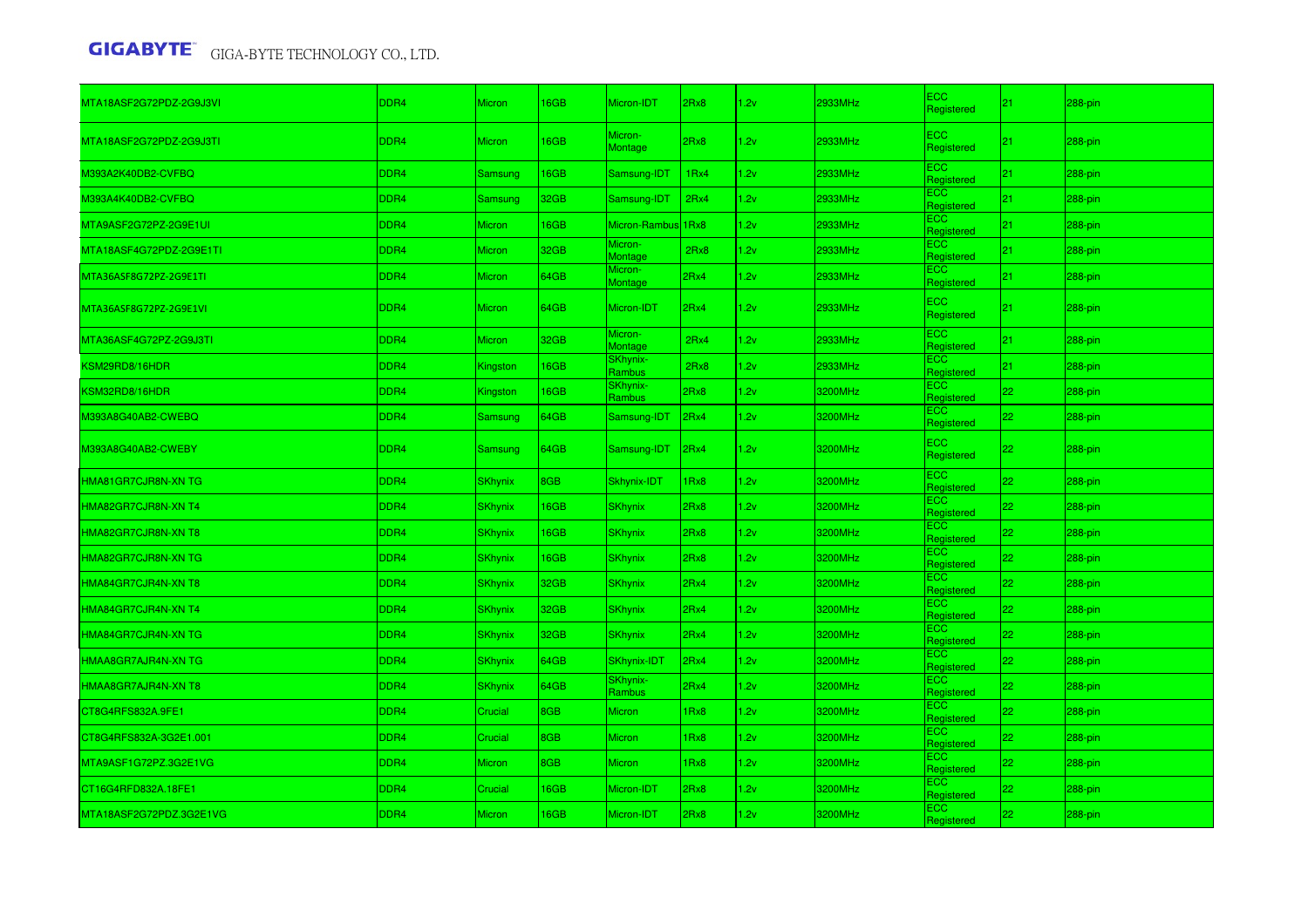| MTA18ASF2G72PDZ-2G9J3VI | DDR4             | <b>Micron</b>  | 16GB       | Micron-IDT                | 2Rx8 | 1.2v | 2933MHz | <b>ECC</b><br>Registered | 21 | 288-pin    |
|-------------------------|------------------|----------------|------------|---------------------------|------|------|---------|--------------------------|----|------------|
| MTA18ASF2G72PDZ-2G9J3TI | DDR4             | <b>Micron</b>  | 16GB       | Micron-<br><b>Montage</b> | 2Rx8 | 1.2v | 2933MHz | ECC<br>Registered        | 21 | 288-pin    |
| M393A2K40DB2-CVFBQ      | DDR <sub>4</sub> | Samsung        | 16GB       | Samsung-IDT               | 1Rx4 | 1.2v | 2933MHz | ECC<br>Registered        | 21 | 288-pin    |
| M393A4K40DB2-CVFBQ      | DDR <sub>4</sub> | Samsung        | 32GB       | Samsung-IDT               | 2Rx4 | 1.2v | 2933MHz | ECC.<br>Registered       | 21 | 288-pin    |
| MTA9ASF2G72PZ-2G9E1UI   | DDR4             | Micron         | 16GB       | Micron-Rambus 1Rx8        |      | 1.2v | 2933MHz | ECC<br>Registered        | 21 | 288-pin    |
| MTA18ASF4G72PDZ-2G9E1TI | DDR <sub>4</sub> | Micron         | 32GB       | Micron-<br>Montage        | 2Rx8 | 1.2v | 2933MHz | ECC.<br>Registered       | 21 | 288-pin    |
| MTA36ASF8G72PZ-2G9E1TI  | DDR4             | <b>Micron</b>  | 64GB       | Micron-<br>Montage        | 2Rx4 | 1.2v | 2933MHz | ECC.<br>Registered       | 21 | 288-pin    |
| MTA36ASF8G72PZ-2G9E1VI  | DDR4             | Micron         | 64GB       | Micron-IDT                | 2Rx4 | 1.2v | 2933MHz | <b>ECC</b><br>Registered | 21 | $288$ -pin |
| MTA36ASF4G72PZ-2G9J3TI  | DDR <sub>4</sub> | Micron         | 32GB       | Micron-<br>Montage        | 2Rx4 | 1.2v | 2933MHz | ECC<br>Registered        | 21 | 288-pin    |
| KSM29RD8/16HDR          | DDR4             | Kingston       | 16GB       | SKhynix-<br>Rambus        | 2Rx8 | 1.2v | 2933MHz | ECC.<br>Registered       | 21 | 288-pin    |
| KSM32RD8/16HDR          | DDR4             | Kingston       | <b>6GB</b> | SKhynix-<br>Rambus        | 2Rx8 | .2v  | 3200MHz | ECC.<br>Registered       | 22 | 288-pin    |
| M393A8G40AB2-CWEBQ      | DDR4             | Samsung        | 64GB       | Samsung-IDT               | 2Rx4 | 1.2v | 3200MHz | ECC<br>Registered        | 22 | 288-pin    |
| M393A8G40AB2-CWEBY      | DDR <sub>4</sub> | Samsung        | 64GB       | Samsung-IDT               | 2Rx4 | 1.2v | 3200MHz | <b>ECC</b><br>Registered | 22 | $288$ -pin |
| HMA81GR7CJR8N-XN TG     | DDR4             | <b>SKhynix</b> | 8GB        | Skhynix-IDT               | 1Rx8 | 1.2v | 3200MHz | <b>ECC</b><br>Registered | 22 | 288-pin    |
| HMA82GR7CJR8N-XN T4     | DDR <sub>4</sub> | <b>SKhynix</b> | 16GB       | <b>SKhynix</b>            | 2Rx8 | 1.2v | 3200MHz | ECC<br>Registered        | 22 | 288-pin    |
| HMA82GR7CJR8N-XN T8     | DDR4             | <b>SKhynix</b> | 16GB       | <b>SKhynix</b>            | 2Rx8 | 1.2v | 3200MHz | <b>ECC</b><br>Registered | 22 | 288-pin    |
| HMA82GR7CJR8N-XN TG     | DDR <sub>4</sub> | <b>SKhynix</b> | 16GB       | <b>SKhynix</b>            | 2Rx8 | 1.2v | 3200MHz | ECC.<br>Registered       | 22 | 288-pin    |
| HMA84GR7CJR4N-XN T8     | DDR4             | <b>SKhynix</b> | 32GB       | <b>SKhynix</b>            | 2Rx4 | 1.2v | 3200MHz | ECC<br>Registered        | 22 | 288-pin    |
| HMA84GR7CJR4N-XN T4     | DDR <sub>4</sub> | <b>SKhynix</b> | 32GB       | <b>SKhynix</b>            | 2Rx4 | 1.2v | 3200MHz | ECC.<br>Registered       | 22 | 288-pin    |
| HMA84GR7CJR4N-XN TG     | DDR4             | <b>SKhynix</b> | 32GB       | <b>SKhynix</b>            | 2Rx4 | 1.2v | 3200MHz | ECC.<br>Registered       | 22 | 288-pin    |
| HMAA8GR7AJR4N-XN TG     | DDR4             | <b>SKhynix</b> | 64GB       | SKhynix-IDT               | 2Rx4 | 1.2v | 3200MHz | ECC.<br>Registered       | 22 | 288-pin    |
| HMAA8GR7AJR4N-XN T8     | DDR4             | <b>SKhynix</b> | 64GB       | SKhynix-<br>Rambus        | 2Rx4 | 1.2v | 3200MHz | ECC.<br>Registered       | 22 | 288-pin    |
| CT8G4RFS832A.9FE1       | DDR4             | Crucial        | 8GB        | <b>Micron</b>             | 1Rx8 | 1.2v | 3200MHz | ECC<br>Registered        | 22 | 288-pin    |
| CT8G4RFS832A-3G2E1.001  | DDR <sub>4</sub> | Crucial        | 8GB        | Micron                    | 1Rx8 | 1.2v | 3200MHz | ECC.<br>Registered       | 22 | 288-pin    |
| MTA9ASF1G72PZ.3G2E1VG   | DDR4             | Micron         | 8GB        | Micron                    | 1Rx8 | 1.2v | 3200MHz | ECC<br>Registered        | 22 | 288-pin    |
| CT16G4RFD832A.18FE1     | DDR <sub>4</sub> | Crucial        | <b>6GB</b> | Micron-IDT                | 2Rx8 | 1.2v | 3200MHz | ECC.<br>Registered       | 22 | 288-pin    |
| MTA18ASF2G72PDZ.3G2E1VG | DDR4             | <b>Micron</b>  | <b>6GB</b> | Micron-IDT                | 2Rx8 | 2v   | 3200MHz | ECC.<br>Registered       | 22 | 288-pin    |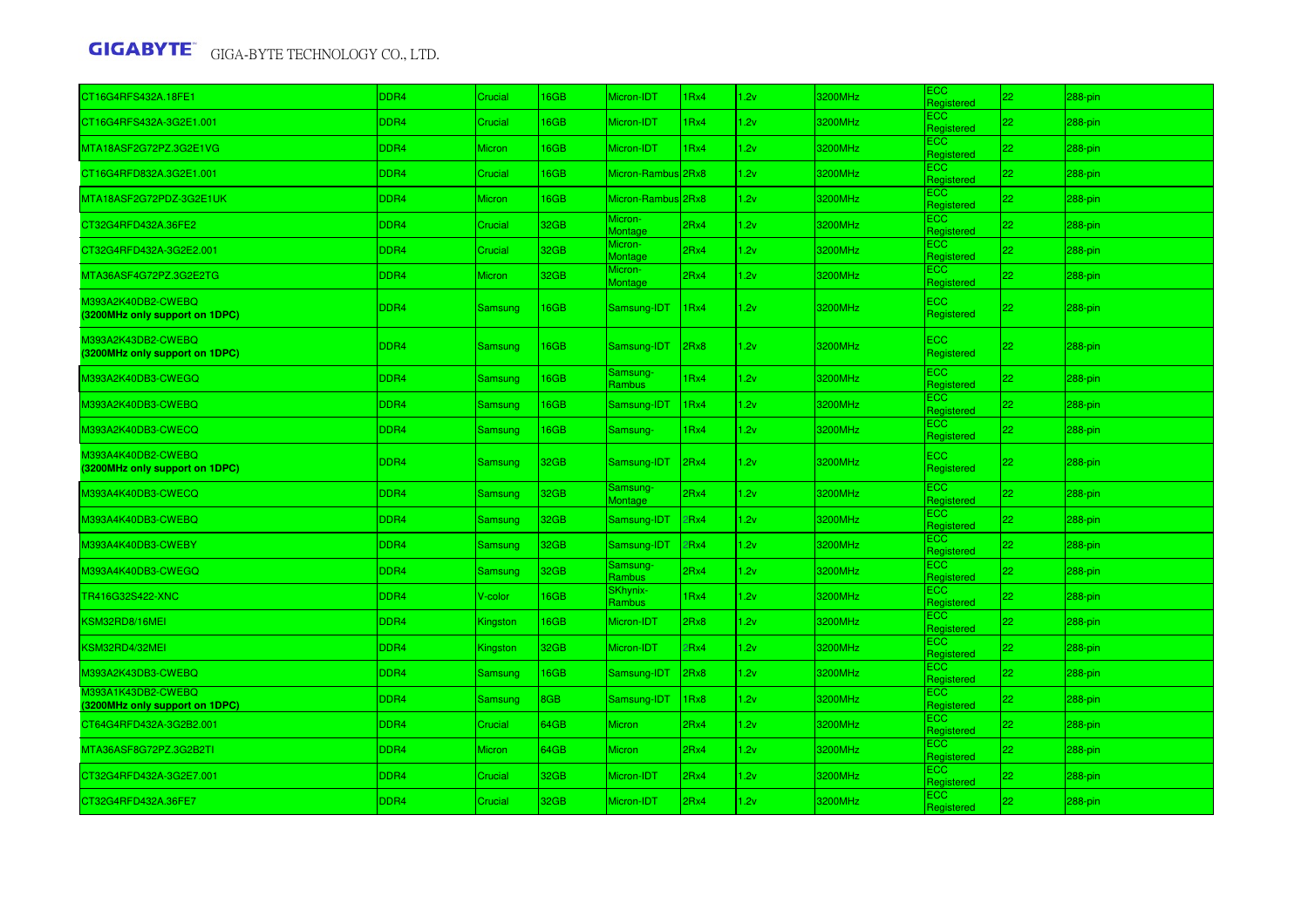| CT16G4RFS432A.18FE1                                  | DDR <sub>4</sub> | Crucial        | 6GB  | Micron-IDT                    | 1Rx4 | 1.2v | 3200MHz | ECC<br>Registered            | 22.             | 288-pin    |
|------------------------------------------------------|------------------|----------------|------|-------------------------------|------|------|---------|------------------------------|-----------------|------------|
| CT16G4RFS432A-3G2E1.001                              | DDR4             | Crucial        | 6GB  | Micron-IDT                    | 1Rx4 | 1.2v | 3200MHz | ECC<br>Registered            | 22              | 288-pin    |
| MTA18ASF2G72PZ.3G2E1VG                               | DDR <sub>4</sub> | <b>Micron</b>  | 16GB | Micron-IDT                    | 1Rx4 | 1.2v | 3200MHz | ECC.<br>Registered           | 22              | 288-pin    |
| CT16G4RFD832A.3G2E1.001                              | DDR4             | Crucial        | 6GB  | Micron-Rambus <sup>2Rx8</sup> |      | 1.2v | 3200MHz | EСC<br>Registered            | 22 <sub>2</sub> | 288-pin    |
| MTA18ASF2G72PDZ-3G2E1UK                              | DDR4             | <b>Micron</b>  | 16GB | Micron-Rambus 2Rx8            |      | 1.2v | 3200MHz | ECC<br>Registered            | 22              | 288-pin    |
| CT32G4RFD432A.36FE2                                  | DDR4             | Crucial        | 32GB | Micron-<br>Montage            | 2Rx4 | 1.2v | 3200MHz | $\overline{c}$<br>Registered | 22              | 288-pin    |
| CT32G4RFD432A-3G2E2.001                              | DDR4             | Crucial        | 32GB | Micron-<br>Montage            | 2Rx4 | 1.2v | 3200MHz | $\overline{c}$<br>Registered | 22              | 288-pin    |
| MTA36ASF4G72PZ.3G2E2TG                               | DDR <sub>4</sub> | <b>Micron</b>  | 32GB | Micron-<br>Montage            | 2Rx4 | 1.2v | 3200MHz | ECC.<br>Registered           | 22              | $288-pin$  |
| M393A2K40DB2-CWEBQ<br>(3200MHz only support on 1DPC) | DDR4             | Samsung        | 16GB | Samsung-IDT                   | 1Rx4 | 1.2v | 3200MHz | ECC<br>Registered            | 22              | $288$ -pin |
| M393A2K43DB2-CWEBQ<br>(3200MHz only support on 1DPC) | DDR4             | Samsung        | 16GB | Samsung-IDT                   | 2Rx8 | 1.2v | 3200MHz | $\overline{c}$<br>Registered | 22              | 288-pin    |
| M393A2K40DB3-CWEGQ                                   | DDR4             | Samsung        | 16GB | Samsung-<br>Rambus            | 1Rx4 | 1.2v | 3200MHz | ECC.<br>Registered           | 22              | 288-pin    |
| M393A2K40DB3-CWEBQ                                   | DDR4             | Samsung        | 16GB | Samsung-IDT                   | 1Rx4 | 1.2v | 3200MHz | ECC.<br>Registered           | 22              | 288-pin    |
| M393A2K40DB3-CWECQ                                   | DDR4             | Samsung        | 16GB | Samsung-                      | 1Rx4 | 1.2v | 3200MHz | ĒСC<br>Registered            | 22              | 288-pin    |
| M393A4K40DB2-CWEBQ<br>(3200MHz only support on 1DPC) | DDR4             | Samsung        | 32GB | Samsung-IDT                   | 2Rx4 | 1.2v | 3200MHz | ECC.<br>Registered           | 22              | 288-pin    |
| M393A4K40DB3-CWECQ                                   | DDR4             | Samsung        | 32GB | Samsung-<br>Montage           | 2Rx4 | 1.2v | 3200MHz | ECC<br>Registered            | 22              | 288-pin    |
| M393A4K40DB3-CWEBQ                                   | DDR <sub>4</sub> | Samsung        | 32GB | Samsung-IDT                   | 2Rx4 | 1.2v | 3200MHz | ECC<br>Registered            | 22              | 288-pin    |
| M393A4K40DB3-CWEBY                                   | DDR4             | Samsung        | 32GB | Samsung-IDT                   | 2Rx4 | 1.2v | 3200MHz | ECC.<br>Registered           | 22              | 288-pin    |
| M393A4K40DB3-CWEGQ                                   | DDR <sub>4</sub> | Samsung        | 32GB | Samsung-<br>Rambus            | 2Rx4 | 1.2v | 3200MHz | ECC<br>Registered            | 22              | 288-pin    |
| TR416G32S422-XNC                                     | DDR4             | V-color        | 16GB | SKhynix-<br>Rambus            | 1Rx4 | 1.2v | 3200MHz | ECC<br>Registered            | 22              | 288-pin    |
| <b><sm32rd8 16mei<="" b=""></sm32rd8></b>            | DDR4             | Kingston       | 16GB | Micron-IDT                    | 2Rx8 | 1.2v | 3200MHz | ECC<br>Registered            | 22              | 288-pin    |
| KSM32RD4/32MEI                                       | DDR <sub>4</sub> | Kingston       | 32GB | Micron-IDT                    | 2Rx4 | 1.2v | 3200MHz | ECC<br>Registered            | 22              | 288-pin    |
| M393A2K43DB3-CWEBQ                                   | DDR4             | <b>Samsung</b> | 16GB | Samsung-IDT                   | 2Rx8 | 1.2v | 3200MHz | ECC.<br>Registered           | 22              | 288-pin    |
| M393A1K43DB2-CWEBQ<br>(3200MHz only support on 1DPC) | DDR4             | Samsung        | 8GB  | Samsung-IDT                   | 1Rx8 | 1.2v | 3200MHz | ECC.<br>Registered           | 22              | 288-pin    |
| CT64G4RFD432A-3G2B2.001                              | DDR4             | Crucial        | 64GB | <b>Micron</b>                 | 2Rx4 | 1.2v | 3200MHz | ECC<br>Registered            | 22              | $288-pin$  |
| MTA36ASF8G72PZ.3G2B2TI                               | DDR <sub>4</sub> | <b>Micron</b>  | 64GB | <b>Micron</b>                 | 2Rx4 | 1.2v | 3200MHz | EСC<br>Registered            | 22              | 288-pin    |
| CT32G4RFD432A-3G2E7.001                              | DDR <sub>4</sub> | Crucial        | 32GB | Micron-IDT                    | 2Rx4 | 1.2v | 3200MHz | ECC<br>Registered            | 22              | 288-pin    |
| CT32G4RFD432A.36FE7                                  | DDR4             | Crucial        | 32GB | Micron-IDT                    | 2Rx4 | 1.2v | 3200MHz | ECC.<br>Registered           | 22              | 288-pin    |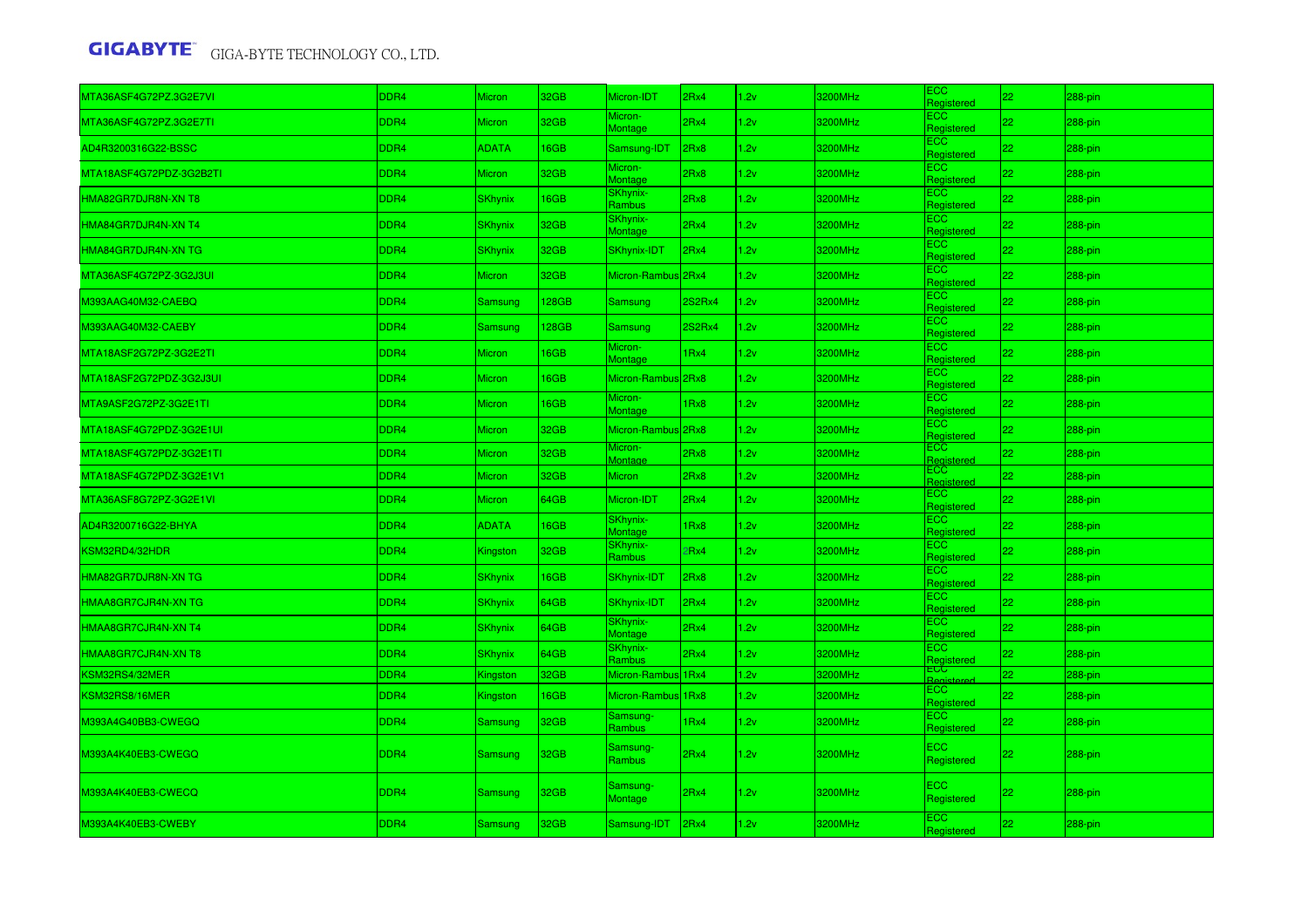| MTA36ASF4G72PZ.3G2E7VI  | DDR4 | <b>Micron</b>  | 32GB         | Micron-IDT                       | 2Rx4          | 2v   | 3200MHz | ECC<br>Registered        | 22 | 288-pin |
|-------------------------|------|----------------|--------------|----------------------------------|---------------|------|---------|--------------------------|----|---------|
| MTA36ASF4G72PZ.3G2E7TI  | DDR4 | Micron         | 32GB         | Micron-<br>Montage               | 2Rx4          | .2v  | 3200MHz | <b>ECC</b><br>Registered | 22 | 288-pin |
| AD4R3200316G22-BSSC     | DDR4 | <b>ADATA</b>   | 16GB         | Samsung-IDT                      | 2Rx8          | 2v   | 3200MHz | ECC.<br>Registered       | 22 | 288-pin |
| MTA18ASF4G72PDZ-3G2B2TI | DDR4 | <b>Micron</b>  | 32GB         | Micron-<br>Montage               | 2Rx8          | 1.2v | 3200MHz | <b>ECC</b><br>Registered | 22 | 288-pin |
| HMA82GR7DJR8N-XN T8     | DDR4 | <b>SKhynix</b> | 16GB         | SKhynix-<br>Rambus               | 2Rx8          | 2v   | 3200MHz | ECC<br>Registered        | 22 | 288-pin |
| HMA84GR7DJR4N-XN T4     | DDR4 | <b>SKhynix</b> | 32GB         | SKhynix-<br>Montage              | 2Rx4          | .2v  | 3200MHz | ECC<br>Registered        | 22 | 288-pin |
| HMA84GR7DJR4N-XN TG     | DDR4 | <b>SKhynix</b> | 32GB         | <b>SKhynix-IDT</b>               | 2Rx4          | 2v   | 3200MHz | <b>ECC</b><br>Registered | 22 | 288-pin |
| MTA36ASF4G72PZ-3G2J3UI  | DDR4 | <b>Micron</b>  | 32GB         | Micron-Rambus 2Rx4               |               | .2v  | 3200MHz | ECC.<br>Registered       | 22 | 288-pin |
| M393AAG40M32-CAEBQ      | DDR4 | Samsung        | <b>128GB</b> | Samsung                          | <b>2S2Rx4</b> | 1.2v | 3200MHz | <b>ECC</b><br>Registered | 22 | 288-pin |
| M393AAG40M32-CAEBY      | DDR4 | Samsung        | 128GB        | Samsung                          | <b>2S2Rx4</b> | 1.2v | 3200MHz | ECC.<br>Registered       | 22 | 288-pin |
| MTA18ASF2G72PZ-3G2E2TI  | DDR4 | <b>Micron</b>  | 16GB         | Micron-<br>Montage               | 1Rx4          | 2v   | 3200MHz | ECC<br>Registered        | 22 | 288-pin |
| MTA18ASF2G72PDZ-3G2J3UI | DDR4 | Micron         | 16GB         | Micron-Rambus 2Rx8               |               | 1.2v | 3200MHz | ECC.<br>Registered       | 22 | 288-pin |
| MTA9ASF2G72PZ-3G2E1TI   | DDR4 | <b>Micron</b>  | 16GB         | Micron-<br>Montage               | 1Rx8          | 2v   | 3200MHz | ECC.<br>Registered       | 22 | 288-pin |
| MTA18ASF4G72PDZ-3G2E1UI | DDR4 | <b>Micron</b>  | 32GB         | Micron-Rambus 2Rx8               |               | 2v   | 3200MHz | ECC.<br>Registered       | 22 | 288-pin |
| MTA18ASF4G72PDZ-3G2E1TI | DDR4 | Micron         | 32GB         | Micron-<br>Montage               | 2Rx8          | 1.2v | 3200MHz | ECC.<br>Registered       | 22 | 288-pin |
| MTA18ASF4G72PDZ-3G2E1V1 | DDR4 | Micron         | 32GB         | <b>Micron</b>                    | 2Rx8          | 1.2v | 3200MHz | ECC<br>Registered        | 22 | 288-pin |
| MTA36ASF8G72PZ-3G2E1VI  | DDR4 | Micron         | 64GB         | Micron-IDT                       | 2Rx4          | 1.2v | 3200MHz | ECC.<br>Registered       | 22 | 288-pin |
| AD4R3200716G22-BHYA     | DDR4 | <b>ADATA</b>   | 16GB         | SKhynix-<br>Montage              | 1Rx8          | 1.2v | 3200MHz | ECC.<br>Registered       | 22 | 288-pin |
| KSM32RD4/32HDR          | DDR4 | Kingston       | 32GB         | <mark>SKhynix-</mark><br>Rambus  | 2Rx4          | 2v   | 3200MHz | ECC.<br>Registered       | 22 | 288-pin |
| HMA82GR7DJR8N-XN TG     | DDR4 | <b>SKhynix</b> | 16GB         | SKhynix-IDT                      | 2Rx8          | 1.2v | 3200MHz | ECC<br>Registered        | 22 | 288-pin |
| HMAA8GR7CJR4N-XN TG     | DDR4 | <b>SKhynix</b> | 64GB         | <b>SKhynix-IDT</b>               | 2Rx4          | .2v  | 3200MHz | <b>ECC</b><br>Registered | 22 | 288-pin |
| HMAA8GR7CJR4N-XN T4     | DDR4 | <b>SKhynix</b> | 64GB         | SKhynix-<br>Montage              | 2Rx4          | 1.2v | 3200MHz | <b>ECC</b><br>Registered | 22 | 288-pin |
| HMAA8GR7CJR4N-XN T8     | DDR4 | <b>SKhynix</b> | 64GB         | <mark>SK</mark> hynix-<br>Rambus | 2Rx4          | .2v  | 3200MHz | ECC<br>Registered        | 22 | 288-pin |
| KSM32RS4/32MER          | DDR4 | Kingston       | 32GB         | Micron-Rambus 1Rx4               |               | 1.2v | 3200MHz | ECC                      | 22 | 288-pin |
| KSM32RS8/16MER          | DDR4 | Kingston       | 16GB         | Micron-Rambus 1Rx8               |               | 1.2v | 3200MHz | ECC.<br>Registered       | 22 | 288-pin |
| M393A4G40BB3-CWEGQ      | DDR4 | Samsung        | 32GB         | Samsung-<br><b>Rambus</b>        | 1Rx4          | 2v   | 3200MHz | <b>ECC</b><br>Registered | 22 | 288-pin |
| M393A4K40EB3-CWEGQ      | DDR4 | Samsung        | 32GB         | Samsung-<br><b>Rambus</b>        | 2Rx4          | 1.2v | 3200MHz | ECC.<br>Registered       | 22 | 288-pin |
| M393A4K40EB3-CWECQ      | DDR4 | Samsung        | 32GB         | Samsung-<br>Montage              | 2Rx4          | 1.2v | 3200MHz | <b>ECC</b><br>Registered | 22 | 288-pin |
| M393A4K40EB3-CWEBY      | DDR4 | Samsung        | 32GB         | Samsung-IDT                      | 2Rx4          | 1.2v | 3200MHz | ECC.<br>Registered       | 22 | 288-pin |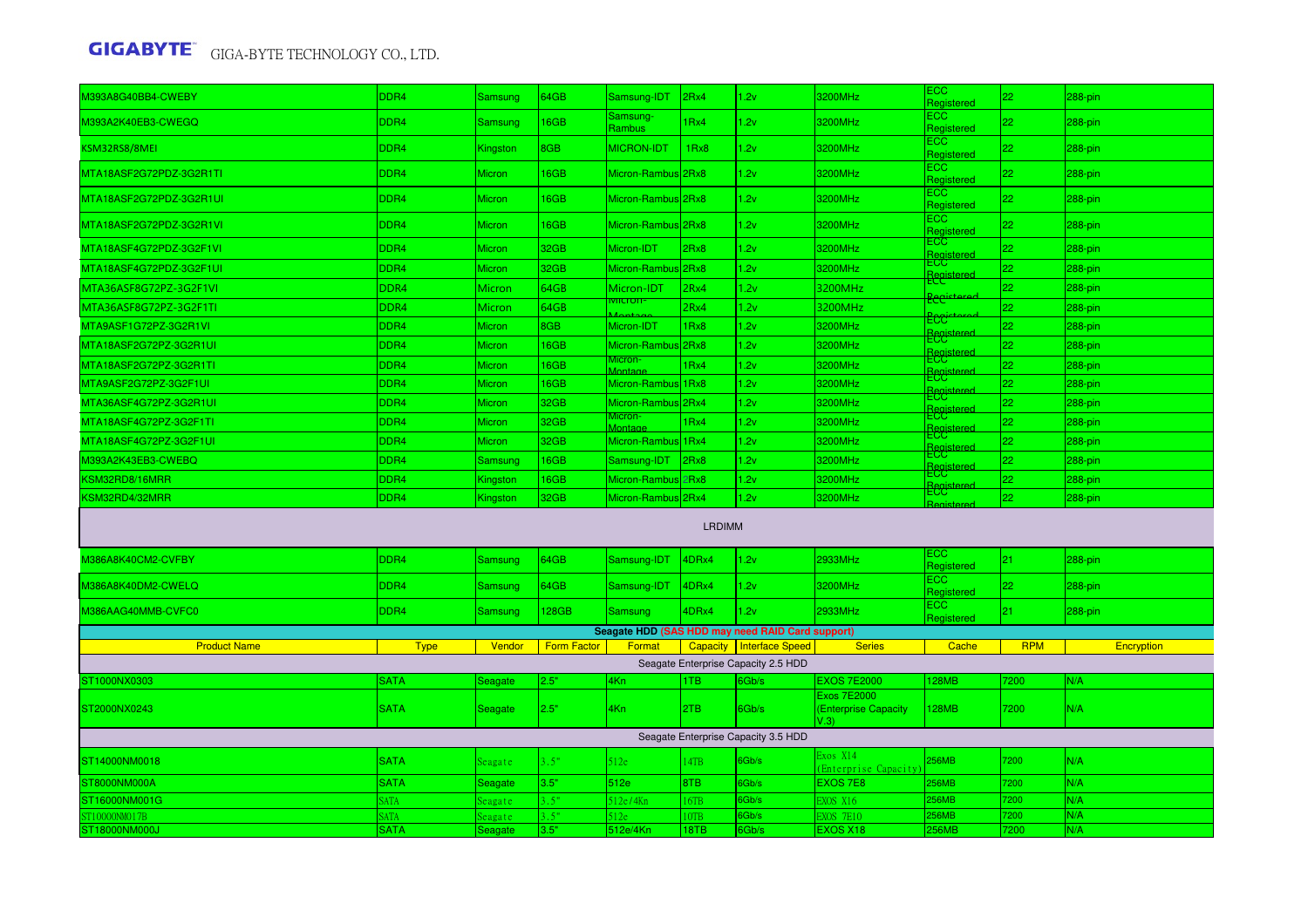| 0393A8G40BB4-CWEBY            | DDR4                       | <b>Samsung</b>            | 64GB               | Samsung-IDT                | 2Rx4          | 1.2v                                             | 3200MHz                                            | ECC.<br>Registered       | 22           | 288-pin           |
|-------------------------------|----------------------------|---------------------------|--------------------|----------------------------|---------------|--------------------------------------------------|----------------------------------------------------|--------------------------|--------------|-------------------|
| 0393A2K40EB3-CWEGQ            | DDR4                       | Samsung                   | 16GB               | Samsung-<br>Rambus         | 1Rx4          | 1.2v                                             | 3200MHz                                            | <b>ECC</b><br>Registered | 22           | 288-pin           |
| KSM32RS8/8MEI                 | DDR4                       | Kingston                  | 8GB                | <b>MICRON-IDT</b>          | 1Rx8          | 1.2v                                             | 3200MHz                                            | ECC.<br>Registered       | 22           | 288-pin           |
| MTA18ASF2G72PDZ-3G2R1TI       | DDR4                       | Micron                    | 16GB               | Micron-Rambus 2Rx8         |               | 1.2v                                             | 3200MHz                                            | ECC.<br>Registered       | 22           | 288-pin           |
| MTA18ASF2G72PDZ-3G2R1UI       | DDR4                       | Micron                    | 16GB               | Micron-Rambus 2Rx8         |               | 1.2v                                             | 3200MHz                                            | <b>ECC</b><br>Registered | 22           | 288-pin           |
| MTA18ASF2G72PDZ-3G2R1VI       | DDR4                       | Micron                    | 16GB               | Micron-Rambus 2Rx8         |               | 1.2v                                             | 3200MHz                                            | <b>ECC</b><br>Registered | 22           | 288-pin           |
| MTA18ASF4G72PDZ-3G2F1VI       | DDR4                       | <b>Micron</b>             | 32GB               | Micron-IDT                 | 2Rx8          | 1.2v                                             | 3200MHz                                            | ECC                      | 22           | 288-pin           |
| MTA18ASF4G72PDZ-3G2F1UI       | DDR4                       | <b>Micron</b>             | 32GB               | Micron-Rambus              | 2Rx8          | 1.2v                                             | 3200MHz                                            | <b>ECC</b>               | 22           | 288-pin           |
| MTA36ASF8G72PZ-3G2F1VI        | DDR4                       | Micron                    | 64GB               | Micron-IDT                 | 2Rx4          | 1.2v                                             | 3200MHz                                            |                          | 22           | $288-pin$         |
| MTA36ASF8G72PZ-3G2F1TI        | DDR4                       | Micron                    | 64GB               | viicron-                   | 2Rx4          | 1.2v                                             | 3200MHz                                            | <b>Recist</b>            | 22           | 288-pin           |
| MTA9ASF1G72PZ-3G2R1VI         | DDR4                       | Micron                    | 8GB                | Micron-IDT                 | 1Rx8          | 1.2v                                             | 3200MHz                                            | Ecc<br>Registered        | 22           | $288-pin$         |
| MTA18ASF2G72PZ-3G2R1UI        | DDR4                       | Micron                    | 16GB               | Micron-Rambus              | 2Rx8          | 1.2v                                             | 3200MHz                                            | ECC<br>Registered        | 22           | 288-pin           |
| MTA18ASF2G72PZ-3G2R1TI        | DDR4                       | Micron                    | 16GB               | Montage                    | 1Rx4          | 1.2v                                             | 3200MHz                                            | <b>ECC</b>               | 22           | 288-pin           |
| MTA9ASF2G72PZ-3G2F1UI         | DDR4                       | Micron                    | 16GB               | Micron-Rambus 1Rx8         |               | 1.2v                                             | 3200MHz                                            | ECC<br>Registe           | 22           | 288-pin           |
| MTA36ASF4G72PZ-3G2R1UI        | DDR4                       | Micron                    | 32GB               | Micron-Rambus              | 2Rx4          | 1.2v                                             | 3200MHz                                            | <b>ECC</b><br>Register   | 22           | 288-pin           |
| MTA18ASF4G72PZ-3G2F1TI        | DDR4                       | Micron                    | 32GB               | <i>A</i> icron-<br>Montage | 1Rx4          | 1.2v                                             | 3200MHz                                            | ECC.<br>Registere        | 22           | $288-pin$         |
| MTA18ASF4G72PZ-3G2F1UI        | DDR4                       | <b>Micron</b>             | 32GB               | Micron-Rambus 1Rx4         |               | 1.2v                                             | 3200MHz                                            | ECG.                     | 22           | 288-pin           |
| M393A2K43EB3-CWEBQ            | DDR4                       | Samsung                   | 16GB               | Samsung-IDT                | 2Rx8          | 1.2v                                             | 3200MHz                                            | <b>ECC</b><br>Registere  | 22           | 288-pin           |
| KSM32RD8/16MRR                | DDR4                       | Kingston                  | 16GB               | Micron-Rambus              | 2Rx8          | 1.2v                                             | 3200MHz                                            | ECC<br>Registere         | 22           | 288-pin           |
|                               |                            |                           |                    |                            |               |                                                  |                                                    |                          |              |                   |
| KSM32RD4/32MRR                | DDR4                       | Kingston                  | 32GB               | Micron-Rambus 2Rx4         |               | 1.2v                                             | 3200MHz                                            | <b>ECC</b>               | 22           | $288-pin$         |
|                               |                            |                           |                    |                            | <b>LRDIMM</b> |                                                  |                                                    | Registe                  |              |                   |
| M386A8K40CM2-CVFBY            | DDR4                       | Samsung                   | 64GB               | Samsung-IDT                | 4DRx4         | 1.2v                                             | 2933MHz                                            | <b>ECC</b><br>Registered | 21           | 288-pin           |
| M386A8K40DM2-CWELQ            | DDR4                       | <b>Samsung</b>            | 64GB               | Samsung-IDT                | 4DRx4         | 1.2v                                             | 3200MHz                                            | <b>ECC</b><br>Registered | 22           | 288-pin           |
| M386AAG40MMB-CVFC0            | DDR4                       | Samsung                   | 128GB              | <b>Samsung</b>             | 4DRx4         | 1.2v                                             | 2933MHz                                            | ECC.                     | 21           | 288-pin           |
|                               |                            |                           |                    |                            |               | Seagate HDD (SAS HDD may need RAID Card support) |                                                    | Registered               |              |                   |
| <b>Product Name</b>           | <b>Type</b>                | Vendor                    | <b>Form Factor</b> | Format                     |               | Capacity   Interface Speed                       | <b>Series</b>                                      | Cache                    | <b>RPM</b>   | <b>Encryption</b> |
|                               |                            |                           |                    |                            |               | Seagate Enterprise Capacity 2.5 HDD              |                                                    |                          |              |                   |
| ST1000NX0303                  | <b>SATA</b>                | Seagate                   | 2.5"               | 4Kn                        | 1TB           | 6Gb/s                                            | <b>EXOS 7E2000</b>                                 | <b>128MB</b>             | 7200         | N/A               |
| ST2000NX0243                  | <b>SATA</b>                | <b>Seagate</b>            | 2.5"               | 4Kn                        | 2TB           | 6Gb/s                                            | <b>Exos 7E2000</b><br>(Enterprise Capacity<br>V.3) | <b>128MB</b>             | 7200         | N/A               |
|                               |                            |                           |                    |                            |               | Seagate Enterprise Capacity 3.5 HDD              |                                                    |                          |              |                   |
| ST14000NM0018                 | <b>SATA</b>                | Seagate                   | 3.5"               | 512e                       | 14TB          | 6Gb/s                                            | Exos X14<br>(Enterprise Capacity)                  | <b>256MB</b>             | 7200         | N/A               |
| ST8000NM000A                  | <b>SATA</b>                | Seagate                   | 3.5"               | 512e                       | 8TB           | 6Gb/s                                            | EXOS 7E8                                           | <b>256MB</b>             | 7200         | N/A               |
| ST16000NM001G                 | <b>ATA</b>                 | eagate                    | 5 <sup>n</sup>     | 512e/4Kn                   | 6TB           | 6Gb/s                                            | EXOS X16                                           | 256MB                    | 7200         | N/A               |
| T10000NM017B<br>ST18000NM000J | <b>SATA</b><br><b>SATA</b> | Seagate<br><b>Seagate</b> | 3.5"<br>3.5"       | 512e<br>512e/4Kn           | 0TB<br>18TB   | 6Gb/s<br>6Gb/s                                   | <b>EXOS 7E10</b><br>EXOS X18                       | 256MB<br><b>256MB</b>    | 7200<br>7200 | N/A<br>N/A        |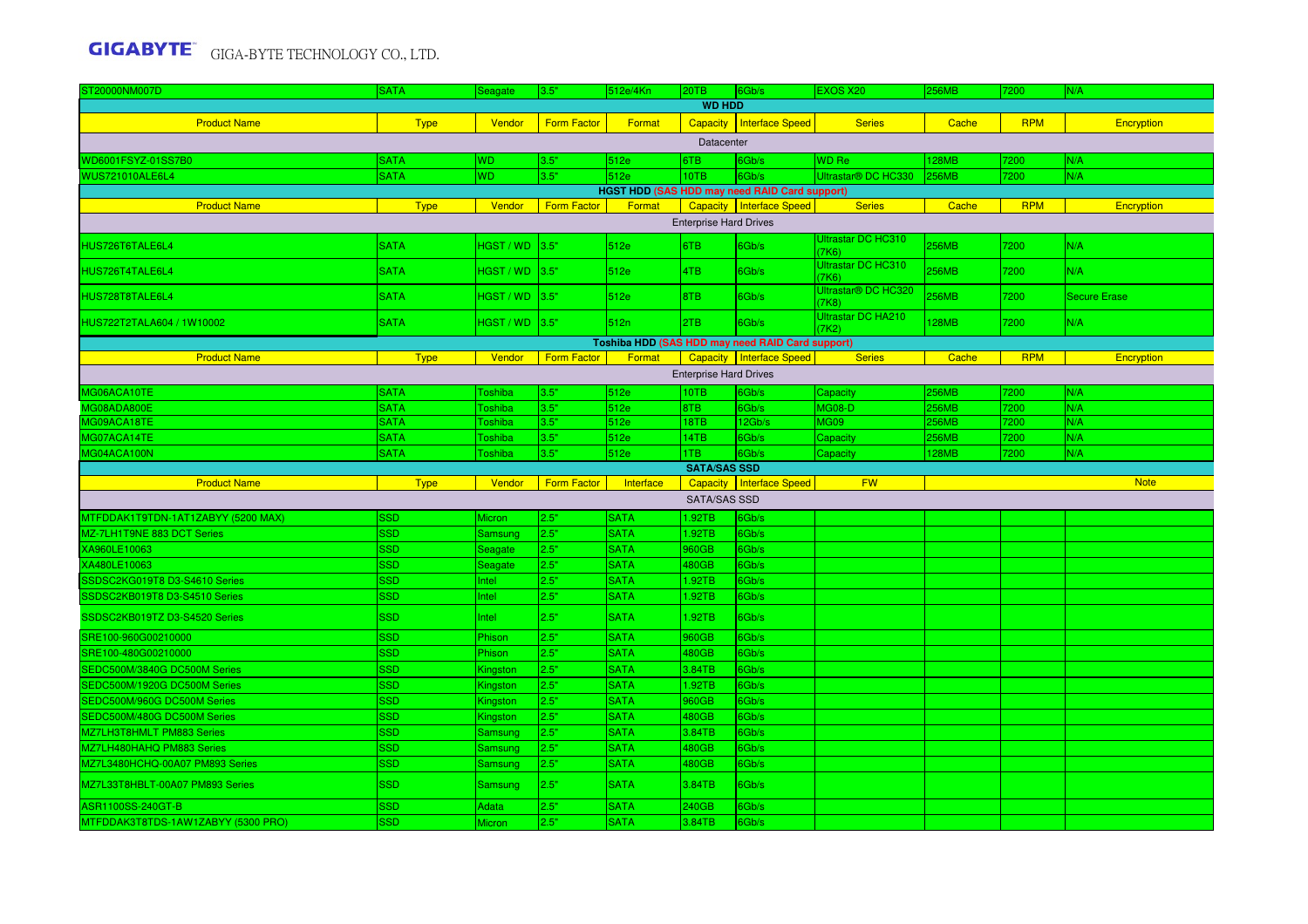| ST20000NM007D                      | <b>SATA</b> | Seagate        | 3.5"               | 512e/4Kn    | 20TB                          | 6Gb/s                                                   | <b>EXOS X20</b>                          | <b>256MB</b> | 7200       | N/A                 |
|------------------------------------|-------------|----------------|--------------------|-------------|-------------------------------|---------------------------------------------------------|------------------------------------------|--------------|------------|---------------------|
|                                    |             |                |                    |             | <b>WD HDD</b>                 |                                                         |                                          |              |            |                     |
| <b>Product Name</b>                | <b>Type</b> | <b>Vendor</b>  | <b>Form Factor</b> | Format      |                               | Capacity   Interface Speed                              | <b>Series</b>                            | Cache        | <b>RPM</b> | Encryption          |
|                                    |             |                |                    |             | Datacenter                    |                                                         |                                          |              |            |                     |
| WD6001FSYZ-01SS7B0                 | <b>SATA</b> | <b>WD</b>      | 3.5"               | 512e        | 6TB                           | 6Gb/s                                                   | <b>WD</b> Re                             | <b>128MB</b> | 7200       | N/A                 |
| <b>WUS721010ALE6L4</b>             | <b>SATA</b> | <b>WD</b>      | 3.5"               | 512e        | 10TB                          | 6Gb/s                                                   | Ultrastar® DC HC330                      | <b>256MB</b> | 7200       | N/A                 |
|                                    |             |                |                    |             |                               | HGST HDD (SAS HDD may need RAID Card support)           |                                          |              |            |                     |
| <b>Product Name</b>                | <b>Type</b> | Vendor         | <b>Form Factor</b> | Format      |                               | Capacity Interface Speed                                | <b>Series</b>                            | Cache        | <b>RPM</b> | Encryption          |
|                                    |             |                |                    |             | <b>Enterprise Hard Drives</b> |                                                         |                                          |              |            |                     |
| HUS726T6TALE6L4                    | <b>SATA</b> | $HGST/WD$ 3.5" |                    | 512e        | 6TB                           | 6Gb/s                                                   | Ultrastar DC HC310<br>(7K6)              | <b>256MB</b> | 7200       | N/A                 |
| HUS726T4TALE6L4                    | <b>SATA</b> | $HGST/WD$ 3.5" |                    | 512e        | 4TB                           | 6Gb/s                                                   | Ultrastar DC HC310<br>(7K6)              | <b>256MB</b> | 7200       | N/A                 |
| HUS728T8TALE6L4                    | <b>SATA</b> | HGST / WD 3.5" |                    | 512e        | 8TB                           | 6Gb/s                                                   | Ultrastar <sup>®</sup> DC HC320<br>(7K8) | 256MB        | 7200       | <b>Secure Erase</b> |
| HUS722T2TALA604 / 1W10002          | <b>SATA</b> | $HGST/WD$ 3.5" |                    | 512n        | 2TB                           | 6Gb/s                                                   | <b>Ultrastar DC HA210</b><br>(7K2)       | <b>128MB</b> | 7200       | N/A                 |
|                                    |             |                |                    |             |                               | <b>Toshiba HDD (SAS HDD may need RAID Card support)</b> |                                          |              |            |                     |
| <b>Product Name</b>                | <b>Type</b> | Vendor         | <b>Form Factor</b> | Format      |                               | Capacity   Interface Speed                              | <b>Series</b>                            | Cache        | <b>RPM</b> | Encryption          |
|                                    |             |                |                    |             | <b>Enterprise Hard Drives</b> |                                                         |                                          |              |            |                     |
| MG06ACA10TE                        | <b>SATA</b> | Toshiba        | 3.5"               | 512e        | 10TB                          | 6Gb/s                                                   | <b>Capacity</b>                          | <b>256MB</b> | 7200       | N/A                 |
| MG08ADA800E                        | <b>SATA</b> | Toshiba        | 3.5"               | 512e        | 8TB                           | 6Gb/s                                                   | <b>MG08-D</b>                            | <b>256MB</b> | 7200       | N/A                 |
| MG09ACA18TE                        | <b>SATA</b> | Toshiba        | 3.5"               | 512e        | 18TB                          | 12Gb/s                                                  | <b>MG09</b>                              | 256MB        | 7200       | N/A                 |
| MG07ACA14TE                        | <b>SATA</b> | Toshiba        | 3.5"               | 512e        | 14TB                          | 6Gb/s                                                   | Capacity                                 | <b>256MB</b> | 7200       | N/A                 |
| MG04ACA100N                        | <b>SATA</b> | Toshiba        | 3.5"               | 512e        | 1TB                           | Gb/s                                                    | Capacity                                 | 128MB        | 7200       | N/A                 |
|                                    |             |                |                    |             | <b>SATA/SAS SSD</b>           |                                                         |                                          |              |            |                     |
| <b>Product Name</b>                | <b>Type</b> | Vendor         | <b>Form Factor</b> | Interface   |                               | Capacity   Interface Speed                              | <b>FW</b>                                |              |            | <b>Note</b>         |
|                                    |             |                |                    |             | <b>SATA/SAS SSD</b>           |                                                         |                                          |              |            |                     |
| MTFDDAK1T9TDN-1AT1ZABYY (5200 MAX) | <b>SSD</b>  | <b>Micron</b>  | 2.5"               | <b>SATA</b> | 1.92TB                        | 6Gb/s                                                   |                                          |              |            |                     |
| MZ-7LH1T9NE 883 DCT Series         | <b>SSD</b>  | Samsung        | 2.5"               | <b>SATA</b> | 1.92TB                        | 6Gb/s                                                   |                                          |              |            |                     |
| XA960LE10063                       | <b>SSD</b>  | Seagate        | 2.5"               | <b>SATA</b> | 960GB                         | 6Gb/s                                                   |                                          |              |            |                     |
| XA480LE10063                       | <b>SSD</b>  | Seagate        | 2.5"               | <b>SATA</b> | 480GB                         | 6Gb/s                                                   |                                          |              |            |                     |
| SSDSC2KG019T8 D3-S4610 Series      | <b>SSD</b>  | Intel          | 2.5"               | <b>SATA</b> | 1.92TB                        | 6Gb/s                                                   |                                          |              |            |                     |
| SSDSC2KB019T8 D3-S4510 Series      | <b>SSD</b>  | Intel          | 2.5"               | <b>SATA</b> | 1.92TB                        | 6Gb/s                                                   |                                          |              |            |                     |
| SSDSC2KB019TZ D3-S4520 Series      | <b>SSD</b>  | Intel          | 2.5"               | <b>SATA</b> | 1.92TB                        | 6Gb/s                                                   |                                          |              |            |                     |
| SRE100-960G00210000                |             |                |                    |             |                               |                                                         |                                          |              |            |                     |
|                                    | <b>SSD</b>  | Phison         | 2.5"               | <b>SATA</b> | 960GB                         | Gb/s                                                    |                                          |              |            |                     |
| SRE100-480G00210000                | <b>SSD</b>  | Phison         | 2.5"               | <b>SATA</b> | 480GB                         | 6Gb/s                                                   |                                          |              |            |                     |
| SEDC500M/3840G DC500M Series       | <b>SSD</b>  | Kingston       | 2.5"               | <b>SATA</b> | 3.84TB                        | 6Gb/s                                                   |                                          |              |            |                     |
| SEDC500M/1920G DC500M Series       | <b>SSD</b>  | Kingston       | 2.5"               | <b>SATA</b> | 1.92TB                        | Gb/s                                                    |                                          |              |            |                     |
| SEDC500M/960G DC500M Series        | <b>SSD</b>  | Kingston       | 2.5"               | <b>SATA</b> | 960GB                         | 6Gb/s                                                   |                                          |              |            |                     |
| SEDC500M/480G DC500M Series        | <b>SSD</b>  | Kingston       | 2.5"               | <b>SATA</b> | 480GB                         | 3Gb/s                                                   |                                          |              |            |                     |
| MZ7LH3T8HMLT PM883 Series          | <b>SSD</b>  | <b>Samsung</b> | 2.5"               | <b>SATA</b> | 3.84TB                        | Gb/s                                                    |                                          |              |            |                     |
| MZ7LH480HAHQ PM883 Series          | <b>SSD</b>  | Samsung        | 2.5"               | <b>SATA</b> | 480GB                         | 6Gb/s                                                   |                                          |              |            |                     |
| MZ7L3480HCHQ-00A07 PM893 Series    | <b>SSD</b>  | Samsung        | 2.5"               | <b>SATA</b> | 480GB                         | Gb/s                                                    |                                          |              |            |                     |
| MZ7L33T8HBLT-00A07 PM893 Series    | <b>SSD</b>  | Samsung        | 2.5"               | <b>SATA</b> | 3.84TB                        | 6Gb/s                                                   |                                          |              |            |                     |
| ASR1100SS-240GT-B                  | <b>SSD</b>  | Adata          | 2.5"               | <b>SATA</b> | 240GB                         | 6Gb/s                                                   |                                          |              |            |                     |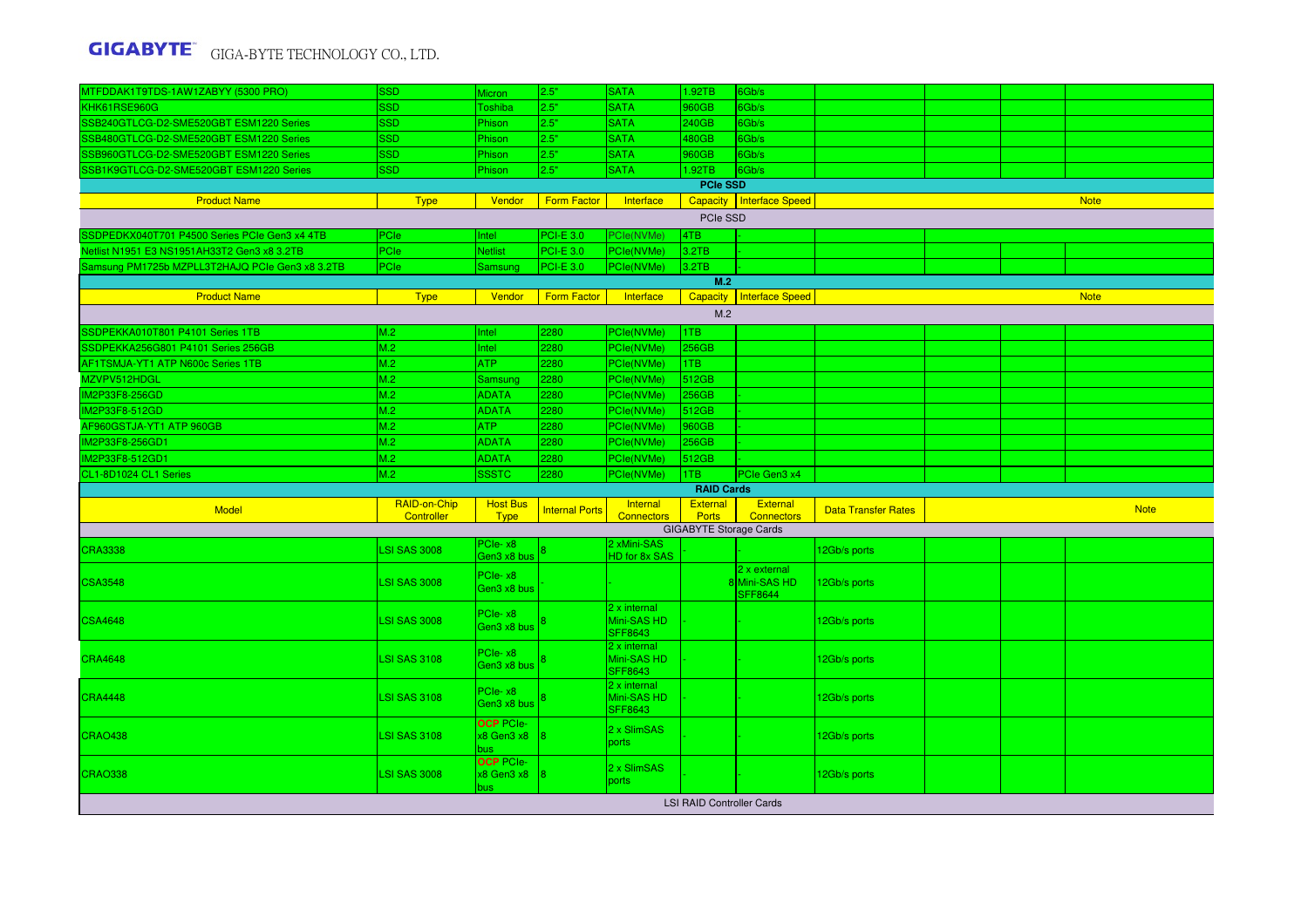| MTFDDAK1T9TDS-1AW1ZABYY (5300 PRO)              | <b>SSD</b>          | <b>Micron</b>                                | 2.5"                  | <b>SATA</b>                                   | 1.92TB                        | 6Gb/s                                            |                            |  |             |
|-------------------------------------------------|---------------------|----------------------------------------------|-----------------------|-----------------------------------------------|-------------------------------|--------------------------------------------------|----------------------------|--|-------------|
| KHK61RSE960G                                    | <b>SSD</b>          | <b>Toshiba</b>                               | 2.5"                  | <b>SATA</b>                                   | 960GB                         | 6Gb/s                                            |                            |  |             |
| SSB240GTLCG-D2-SME520GBT ESM1220 Series         | <b>SSD</b>          | Phison                                       | 2.5"                  | <b>SATA</b>                                   | 240GB                         | 6Gb/s                                            |                            |  |             |
| SSB480GTLCG-D2-SME520GBT ESM1220 Series         | <b>SSD</b>          | Phison                                       | 2.5"                  | <b>SATA</b>                                   | 480GB                         | 6Gb/s                                            |                            |  |             |
| SSB960GTLCG-D2-SME520GBT ESM1220 Series         | <b>SSD</b>          | Phison                                       | 2.5"                  | <b>SATA</b>                                   | 960GB                         | 6Gb/s                                            |                            |  |             |
| SSB1K9GTLCG-D2-SME520GBT ESM1220 Series         | <b>SSD</b>          | Phison                                       | 2.5"                  | <b>SATA</b>                                   | 1.92TB                        | 6Gb/s                                            |                            |  |             |
|                                                 |                     |                                              |                       |                                               | <b>PCIe SSD</b>               |                                                  |                            |  |             |
| <b>Product Name</b>                             | <b>Type</b>         | Vendor                                       | <b>Form Factor</b>    | Interface                                     |                               | Capacity   Interface Speed                       |                            |  | <b>Note</b> |
|                                                 |                     |                                              |                       |                                               | PCIe SSD                      |                                                  |                            |  |             |
| SSDPEDKX040T701 P4500 Series PCIe Gen3 x4 4TB   | PCle                | Intel                                        | <b>PCI-E 3.0</b>      | PCle(NVMe)                                    | 4TB                           |                                                  |                            |  |             |
| Netlist N1951 E3 NS1951AH33T2 Gen3 x8 3.2TB     | PCIe                | <b>Netlist</b>                               | PCI-E 3.0             | PCle(NVMe)                                    | 3.2TB                         |                                                  |                            |  |             |
| Samsung PM1725b MZPLL3T2HAJQ PCIe Gen3 x8 3.2TB | PCle                | Samsung                                      | PCI-E 3.0             | PCle(NVMe)                                    | 3.2TB                         |                                                  |                            |  |             |
|                                                 |                     |                                              |                       |                                               | M.2                           |                                                  |                            |  |             |
| <b>Product Name</b>                             | <b>Type</b>         | Vendor                                       | <b>Form Factor</b>    | Interface                                     |                               | Capacity   Interface Speed                       |                            |  | <b>Note</b> |
|                                                 |                     |                                              |                       |                                               | M.2                           |                                                  |                            |  |             |
| SSDPEKKA010T801 P4101 Series 1TB                | M.2                 | Intel                                        | 2280                  | PCle(NVMe)                                    | 1TB                           |                                                  |                            |  |             |
| SSDPEKKA256G801 P4101 Series 256GB              | M.2                 | Intel                                        | 2280                  | PCle(NVMe)                                    | 256GB                         |                                                  |                            |  |             |
| AF1TSMJA-YT1 ATP N600c Series 1TB               | M.2                 | ATP                                          | 2280                  | PCle(NVMe)                                    | 1TB                           |                                                  |                            |  |             |
| MZVPV512HDGL                                    | M.2                 | Samsung                                      | 2280                  | PCle(NVMe)                                    | 512GB                         |                                                  |                            |  |             |
| <b>IM2P33F8-256GD</b>                           | M.2                 | <b>ADATA</b>                                 | 2280                  | PCle(NVMe)                                    | 256GB                         |                                                  |                            |  |             |
| IM2P33F8-512GD                                  | M.2                 | <b>ADATA</b>                                 | 2280                  | PCle(NVMe)                                    | 512GB                         |                                                  |                            |  |             |
| AF960GSTJA-YT1 ATP 960GB                        | M.2                 | ATP                                          | 2280                  | PCle(NVMe)                                    | 960GB                         |                                                  |                            |  |             |
| IM2P33F8-256GD1                                 | M.2                 | <b>ADATA</b>                                 | 2280                  | PCle(NVMe)                                    | 256GB                         |                                                  |                            |  |             |
| IM2P33F8-512GD1                                 | M.2                 | <b>ADATA</b>                                 | 2280                  |                                               | 512GB                         |                                                  |                            |  |             |
|                                                 | M.2                 |                                              | 2280                  | PCle(NVMe)                                    | 1TB                           |                                                  |                            |  |             |
| CL1-8D1024 CL1 Series                           |                     | <b>SSSTC</b>                                 |                       | PCle(NVMe)                                    | <b>RAID Cards</b>             | PCIe Gen3 x4                                     |                            |  |             |
|                                                 | RAID-on-Chip        | <b>Host Bus</b>                              |                       | <b>Internal</b>                               | External                      | External                                         |                            |  |             |
|                                                 |                     |                                              |                       |                                               |                               |                                                  | <b>Data Transfer Rates</b> |  | <b>Note</b> |
| <b>Model</b>                                    | Controller          | <b>Type</b>                                  | <b>Internal Ports</b> | <b>Connectors</b>                             | <b>Ports</b>                  | <b>Connectors</b>                                |                            |  |             |
|                                                 |                     |                                              |                       |                                               | <b>GIGABYTE Storage Cards</b> |                                                  |                            |  |             |
| <b>CRA3338</b>                                  | <b>SI SAS 3008</b>  | PCIe-x8<br>Gen3 x8 bus                       |                       | 2 xMini-SAS<br>HD for 8x SAS                  |                               |                                                  | 12Gb/s ports               |  |             |
| <b>CSA3548</b>                                  | <b>LSI SAS 3008</b> | PCIe-x8<br>Gen3 x8 bus                       |                       |                                               |                               | $2x$ external<br>8 Mini-SAS HD<br><b>SFF8644</b> | 12Gb/s ports               |  |             |
| <b>CSA4648</b>                                  | <b>LSI SAS 3008</b> | PCIe-x8<br>Gen3 x8 bus                       |                       | 2 x internal<br>Mini-SAS HD<br><b>SFF8643</b> |                               |                                                  | 12Gb/s ports               |  |             |
| <b>CRA4648</b>                                  | <b>LSI SAS 3108</b> | PCIe-x8<br>Gen3 x8 bus                       |                       | 2 x internal<br>Mini-SAS HD<br><b>SFF8643</b> |                               |                                                  | 12Gb/s ports               |  |             |
| <b>CRA4448</b>                                  | <b>LSI SAS 3108</b> | PCIe-x8<br>Gen3 x8 bus                       |                       | 2 x internal<br>Mini-SAS HD<br><b>SFF8643</b> |                               |                                                  | 12Gb/s ports               |  |             |
| <b>CRAO438</b>                                  | <b>LSI SAS 3108</b> | <b>OCP</b> PCIe-<br>$x8$ Gen3 $x8$ 8<br>bus. |                       | 2 x SlimSAS<br>ports                          |                               |                                                  | 12Gb/s ports               |  |             |
| <b>CRAO338</b>                                  | <b>LSI SAS 3008</b> | <b>OCP PCIe-</b><br>x8 Gen3 x8<br>bus.       |                       | 2 x SlimSAS<br>ports                          |                               |                                                  | 12Gb/s ports               |  |             |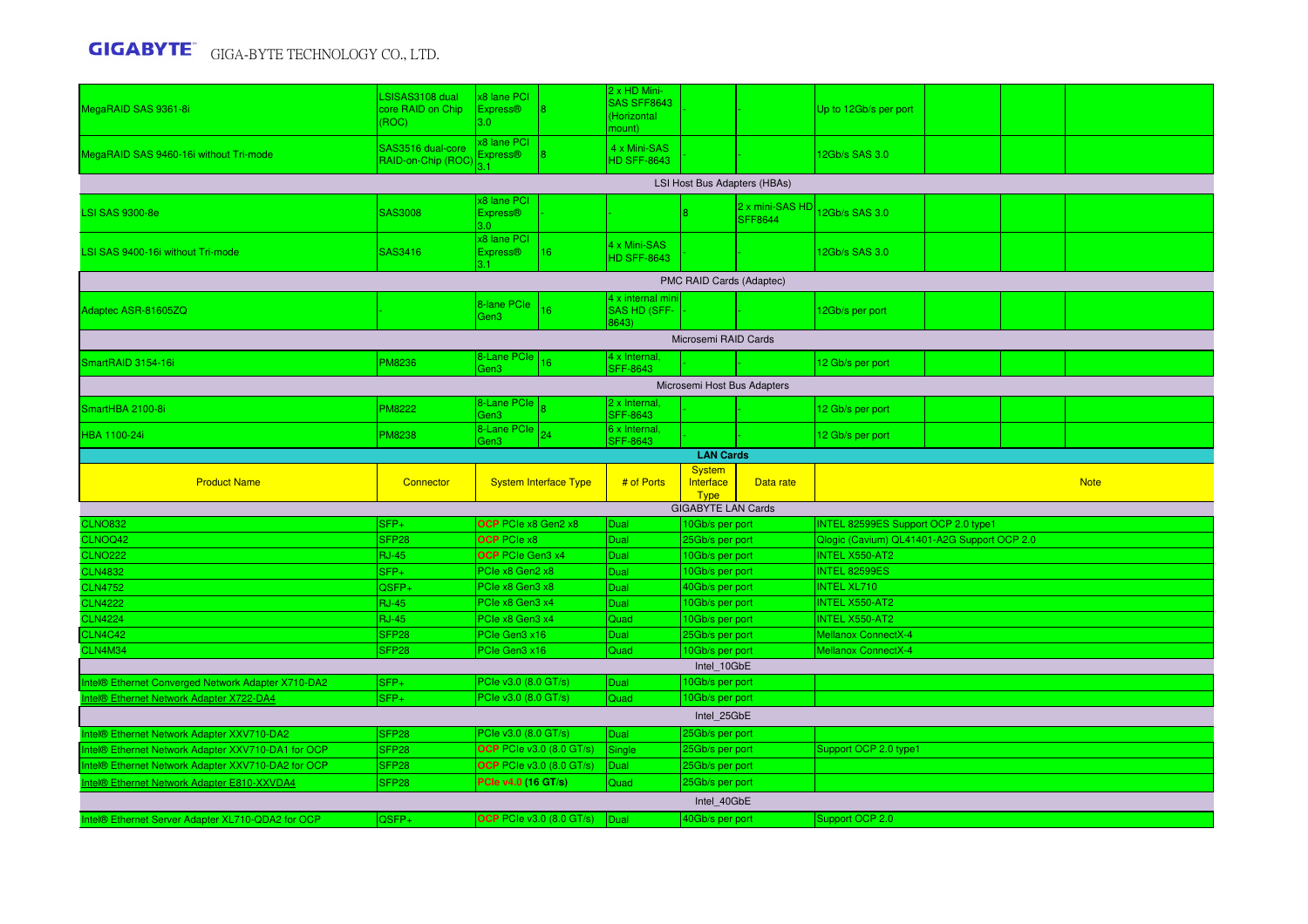| MegaRAID SAS 9361-8i                               | SISAS3108 dual<br>core RAID on Chip<br>(ROC) | x8 lane PCI<br><b>Express®</b><br>3.0 <sub>1</sub> |                                 | 2 x HD Mini-<br><b>SAS SFF8643</b><br>(Horizontal<br>nount) |                                    |                              | Up to 12Gb/s per port                                                |  |             |
|----------------------------------------------------|----------------------------------------------|----------------------------------------------------|---------------------------------|-------------------------------------------------------------|------------------------------------|------------------------------|----------------------------------------------------------------------|--|-------------|
| MegaRAID SAS 9460-16i without Tri-mode             | SAS3516 dual-core<br>RAID-on-Chip (ROC       | x8 lane PCI<br><b>Express®</b>                     |                                 | 4 x Mini-SAS<br><b>HD SFF-8643</b>                          |                                    |                              | 12Gb/s SAS 3.0                                                       |  |             |
|                                                    |                                              |                                                    |                                 |                                                             |                                    | LSI Host Bus Adapters (HBAs) |                                                                      |  |             |
| <b>LSI SAS 9300-8e</b>                             | SAS3008                                      | x8 lane PCI<br><b>Express®</b><br>3.0 <sub>1</sub> |                                 |                                                             |                                    | 2 x mini-SAS HD<br>SFF8644   | 12Gb/s SAS 3.0                                                       |  |             |
| LSI SAS 9400-16i without Tri-mode                  | <b>SAS3416</b>                               | x8 lane PCI<br><b>Express®</b><br>31               | $ 16\rangle$                    | 4 x Mini-SAS<br><b>HD SFF-8643</b>                          |                                    |                              | 12Gb/s SAS 3.0                                                       |  |             |
|                                                    |                                              |                                                    |                                 |                                                             | PMC RAID Cards (Adaptec)           |                              |                                                                      |  |             |
| Adaptec ASR-81605ZQ                                |                                              | 8-lane PCle<br>Gen3                                | 16                              | 4 x internal min<br><b>SAS HD (SFF-</b><br>8643)            |                                    |                              | 12Gb/s per port                                                      |  |             |
|                                                    |                                              |                                                    |                                 |                                                             | Microsemi RAID Cards               |                              |                                                                      |  |             |
| SmartRAID 3154-16i                                 | <b>PM8236</b>                                | 8-Lane PCIe<br>Gen3                                | 16                              | 4 x Internal.<br><b>SFF-8643</b>                            |                                    |                              | 12 Gb/s per port                                                     |  |             |
|                                                    |                                              |                                                    |                                 |                                                             |                                    | Microsemi Host Bus Adapters  |                                                                      |  |             |
| SmartHBA 2100-8i                                   | <b>PM8222</b>                                | 8-Lane PCIe<br>Gen3                                |                                 | 2 x Internal,<br><b>SFF-8643</b>                            |                                    |                              | 12 Gb/s per port                                                     |  |             |
| <b>HBA 1100-24i</b>                                | <b>PM8238</b>                                | 8-Lane PCle<br>Gen3                                | 24                              | 6 x Internal,<br><b>SFF-8643</b>                            |                                    |                              | 12 Gb/s per port                                                     |  |             |
|                                                    |                                              |                                                    |                                 |                                                             | <b>LAN Cards</b><br><b>System</b>  |                              |                                                                      |  |             |
|                                                    |                                              |                                                    |                                 |                                                             |                                    |                              |                                                                      |  |             |
| <b>Product Name</b>                                | Connector                                    |                                                    | <b>System Interface Type</b>    | # of Ports                                                  | Interface<br><b>Type</b>           | Data rate                    |                                                                      |  | <b>Note</b> |
|                                                    |                                              |                                                    |                                 |                                                             | <b>GIGABYTE LAN Cards</b>          |                              |                                                                      |  |             |
| <b>CLNO832</b>                                     | $SFP+$                                       | OCP PCIe x8 Gen2 x8                                |                                 | Dual                                                        | 10Gb/s per port                    |                              | INTEL 82599ES Support OCP 2.0 type1                                  |  |             |
| CLNOQ42<br><b>CLNO222</b>                          | SFP <sub>28</sub><br><b>RJ-45</b>            | <b>OCP</b> PCIe x8<br><b>OCP</b> PCIe Gen3 x4      |                                 | Dual<br>Dual                                                | 25Gb/s per port<br>10Gb/s per port |                              | Qlogic (Cavium) QL41401-A2G Support OCP 2.0<br><b>INTEL X550-AT2</b> |  |             |
| <b>CLN4832</b>                                     | SFP+                                         | PCIe x8 Gen2 x8                                    |                                 | Dual                                                        | 10Gb/s per port                    |                              | <b>INTEL 82599ES</b>                                                 |  |             |
| <b>CLN4752</b>                                     | QSFP+                                        | PCIe x8 Gen3 x8                                    |                                 | Dual                                                        | 40Gb/s per port                    |                              | <b>INTEL XL710</b>                                                   |  |             |
| <b>CLN4222</b>                                     | <b>RJ-45</b>                                 | PCle x8 Gen3 x4                                    |                                 | Dual                                                        | 10Gb/s per port                    |                              | <b>INTEL X550-AT2</b>                                                |  |             |
| <b>CLN4224</b>                                     | <b>RJ-45</b>                                 | PCle x8 Gen3 x4                                    |                                 | Quad                                                        | 10Gb/s per port                    |                              | <b>INTEL X550-AT2</b>                                                |  |             |
| CLN4C42                                            | SFP <sub>28</sub>                            | PCIe Gen3 x16                                      |                                 | Dual                                                        | 25Gb/s per port                    |                              | <b>Mellanox ConnectX-4</b>                                           |  |             |
| <b>CLN4M34</b>                                     | SFP <sub>28</sub>                            | PCIe Gen3 x16                                      |                                 | Quad                                                        | 10Gb/s per port                    |                              | <b>Mellanox ConnectX-4</b>                                           |  |             |
| Intel® Ethernet Converged Network Adapter X710-DA2 | SFP+                                         | PCIe v3.0 (8.0 GT/s)                               |                                 | Dual                                                        | Intel 10GbE<br>10Gb/s per port     |                              |                                                                      |  |             |
| ntel® Ethernet Network Adapter X722-DA4            | $SFP+$                                       | PCIe v3.0 (8.0 GT/s)                               |                                 | Quad                                                        | 10Gb/s per port                    |                              |                                                                      |  |             |
|                                                    |                                              |                                                    |                                 |                                                             | Intel 25GbE                        |                              |                                                                      |  |             |
| ntel® Ethernet Network Adapter XXV710-DA2          | SFP <sub>28</sub>                            | PCIe v3.0 (8.0 GT/s)                               |                                 | Dual                                                        | 25Gb/s per port                    |                              |                                                                      |  |             |
| ntel® Ethernet Network Adapter XXV710-DA1 for OCP  | SFP <sub>28</sub>                            | <b>OCP PCIe v3.0 (8.0 GT/s)</b>                    |                                 | Single                                                      | 25Gb/s per port                    |                              | Support OCP 2.0 type1                                                |  |             |
| ntel® Ethernet Network Adapter XXV710-DA2 for OCP  | SFP <sub>28</sub>                            | <b>OCP</b> PCIe v3.0 (8.0 GT/s)                    |                                 | Dual                                                        | 25Gb/s per port                    |                              |                                                                      |  |             |
| ntel® Ethernet Network Adapter E810-XXVDA4         | SFP <sub>28</sub>                            | PCIe v4.0 (16 GT/s)                                |                                 | Quad                                                        | 25Gb/s per port                    |                              |                                                                      |  |             |
| Intel® Ethernet Server Adapter XL710-QDA2 for OCP  | QSFP+                                        |                                                    | <b>OCP</b> PCIe v3.0 (8.0 GT/s) | Dual                                                        | Intel 40GbE<br>40Gb/s per port     |                              | Support OCP 2.0                                                      |  |             |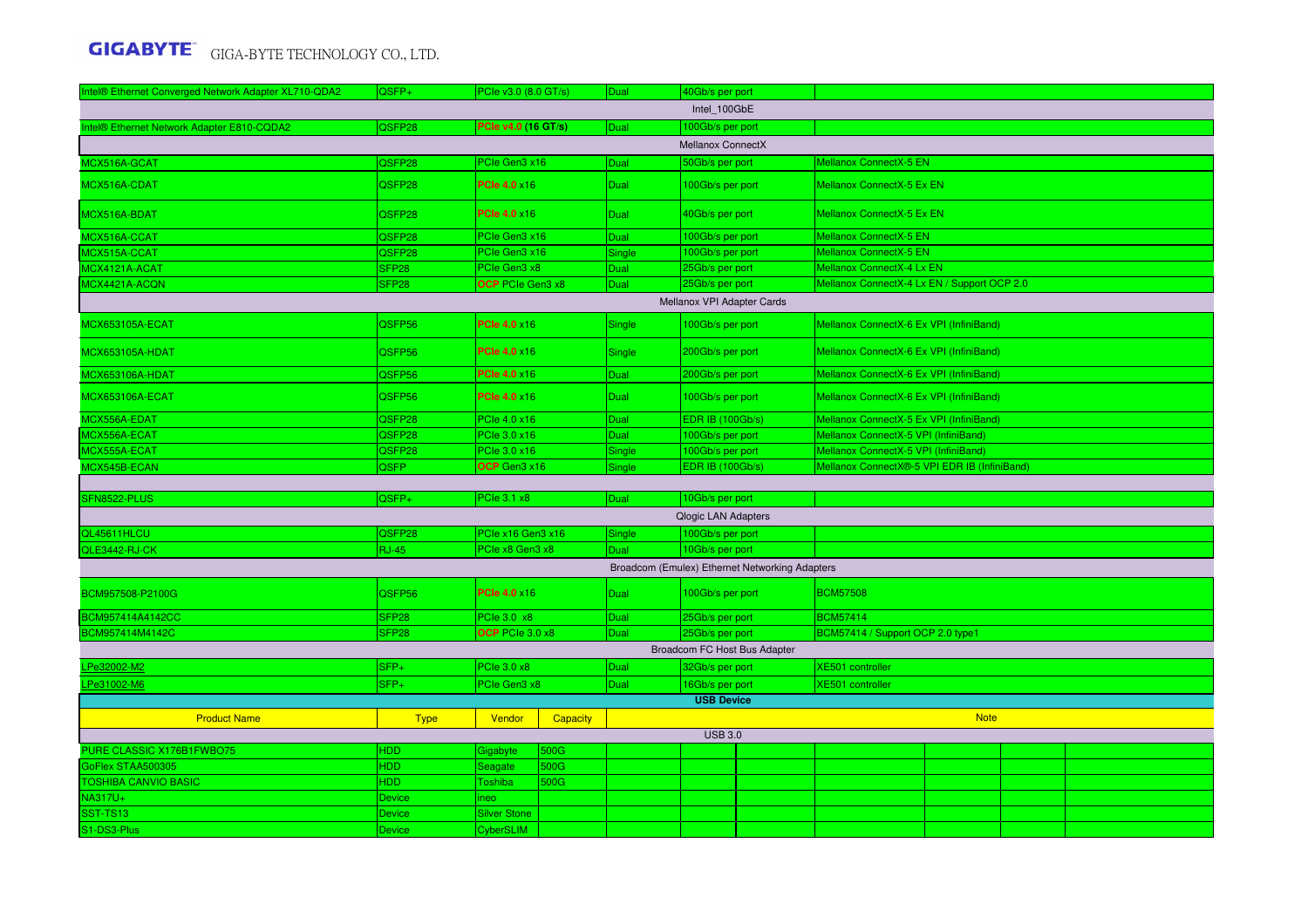| Intel® Ethernet Converged Network Adapter XL710-QDA2 | QSFP+                   | PCIe v3.0 (8.0 GT/s)             |                 | Dual        | 40Gb/s per port            |                                                |                                              |             |  |
|------------------------------------------------------|-------------------------|----------------------------------|-----------------|-------------|----------------------------|------------------------------------------------|----------------------------------------------|-------------|--|
|                                                      |                         |                                  |                 |             | Intel 100GbE               |                                                |                                              |             |  |
| Intel® Ethernet Network Adapter E810-CQDA2           | QSFP28                  | <b>PCIe v4.0 (16 GT/s)</b>       |                 | Dual        | 100Gb/s per port           |                                                |                                              |             |  |
|                                                      |                         |                                  |                 |             | Mellanox ConnectX          |                                                |                                              |             |  |
| MCX516A-GCAT                                         | QSFP28                  | PCIe Gen3 x16                    |                 | Dual        | 50Gb/s per port            |                                                | Mellanox ConnectX-5 EN                       |             |  |
| MCX516A-CDAT                                         | QSFP28                  | <b>PCIe 4.0 ×16</b>              |                 | Dual        | 100Gb/s per port           |                                                | Mellanox ConnectX-5 Ex EN                    |             |  |
| MCX516A-BDAT                                         | QSFP28                  | <b>PCle 4.0 ×16</b>              |                 | <b>Dual</b> | 40Gb/s per port            |                                                | Mellanox ConnectX-5 Ex EN                    |             |  |
| MCX516A-CCAT                                         | QSFP28                  | PCIe Gen3 x16                    |                 | Dual        | 100Gb/s per port           |                                                | <b>Mellanox ConnectX-5 EN</b>                |             |  |
| MCX515A-CCAT                                         | QSFP28                  | PCIe Gen3 x16                    |                 | Single      | 100Gb/s per port           |                                                | <b>Mellanox ConnectX-5 EN</b>                |             |  |
| MCX4121A-ACAT                                        | SFP <sub>28</sub>       | PCIe Gen3 x8                     |                 | Dual        | 25Gb/s per port            |                                                | Mellanox ConnectX-4 Lx EN                    |             |  |
| MCX4421A-ACQN                                        | SFP <sub>28</sub>       | OCP PCIe Gen3 x8                 |                 | Dual        | 25Gb/s per port            |                                                | Mellanox ConnectX-4 Lx EN / Support OCP 2.0  |             |  |
|                                                      |                         |                                  |                 |             | Mellanox VPI Adapter Cards |                                                |                                              |             |  |
| <b>MCX653105A-ECAT</b>                               | QSFP56                  | <b>PCle 4.0 ×16</b>              |                 | Single      | 100Gb/s per port           |                                                | Mellanox ConnectX-6 Ex VPI (InfiniBand)      |             |  |
| <b>MCX653105A-HDAT</b>                               | QSFP56                  | <b>PCIe 4.0 ×16</b>              |                 | Single      | 200Gb/s per port           |                                                | Mellanox ConnectX-6 Ex VPI (InfiniBand)      |             |  |
| <b>MCX653106A-HDAT</b>                               | QSFP56                  | <b>PCle 4.0 ×16</b>              |                 | Dual        | 200Gb/s per port           |                                                | Mellanox ConnectX-6 Ex VPI (InfiniBand)      |             |  |
| <b>MCX653106A-ECAT</b>                               | QSFP56                  | <b>PCle 4.0 x16</b>              |                 | <b>Dual</b> | 100Gb/s per port           |                                                | Mellanox ConnectX-6 Ex VPI (InfiniBand)      |             |  |
| MCX556A-EDAT                                         | QSFP28                  | PCle 4.0 x16                     |                 | Dual        | <b>EDR IB (100Gb/s)</b>    |                                                | Mellanox ConnectX-5 Ex VPI (InfiniBand)      |             |  |
| MCX556A-ECAT                                         | QSFP28                  | PCIe 3.0 x16                     |                 | Dual        | 100Gb/s per port           |                                                | Mellanox ConnectX-5 VPI (InfiniBand)         |             |  |
| MCX555A-ECAT                                         | QSFP28                  | PCle 3.0 x16                     |                 | Single      | 100Gb/s per port           |                                                | Mellanox ConnectX-5 VPI (InfiniBand)         |             |  |
| MCX545B-ECAN                                         | <b>QSFP</b>             | OCP Gen3 x16                     |                 | Single      | <b>EDR IB (100Gb/s)</b>    |                                                | Mellanox ConnectX®-5 VPI EDR IB (InfiniBand) |             |  |
|                                                      |                         |                                  |                 |             |                            |                                                |                                              |             |  |
| SFN8522-PLUS                                         | QSFP+                   | PCIe 3.1 x8                      |                 | Dual        | 10Gb/s per port            |                                                |                                              |             |  |
|                                                      |                         |                                  |                 |             | <b>Qlogic LAN Adapters</b> |                                                |                                              |             |  |
| QL45611HLCU                                          | QSFP28                  | PCle x16 Gen3 x16                |                 | Single      | 100Gb/s per port           |                                                |                                              |             |  |
| QLE3442-RJ-CK                                        | <b>RJ-45</b>            | PCIe x8 Gen3 x8                  |                 | Dual        | 10Gb/s per port            |                                                |                                              |             |  |
|                                                      |                         |                                  |                 |             |                            | Broadcom (Emulex) Ethernet Networking Adapters |                                              |             |  |
| BCM957508-P2100G                                     | QSFP56                  | <b>PCle 4.0 x16</b>              |                 | Dual        | 100Gb/s per port           |                                                | <b>BCM57508</b>                              |             |  |
| BCM957414A4142CC                                     | SFP <sub>28</sub>       | PCle 3.0 x8                      |                 | Dual        | 25Gb/s per port            |                                                | <b>BCM57414</b>                              |             |  |
| BCM957414M4142C                                      | SFP <sub>28</sub>       | OCP PCIe 3.0 x8                  |                 | Dual        | 25Gb/s per port            |                                                | BCM57414 / Support OCP 2.0 type1             |             |  |
|                                                      |                         |                                  |                 |             |                            | Broadcom FC Host Bus Adapter                   |                                              |             |  |
| Pe32002-M2                                           | SFP+                    | <b>PCIe 3.0 x8</b>               |                 | Dual        | 32Gb/s per port            |                                                | <b>XE501</b> controller                      |             |  |
| LPe31002-M6                                          | SFP+                    | PCIe Gen3 x8                     |                 | Dual        | 16Gb/s per port            |                                                | XE501 controller                             |             |  |
|                                                      |                         |                                  |                 |             | <b>USB Device</b>          |                                                |                                              |             |  |
| <b>Product Name</b>                                  | <b>Type</b>             | Vendor                           | <b>Capacity</b> |             |                            |                                                |                                              | <b>Note</b> |  |
|                                                      |                         |                                  |                 |             | <b>USB 3.0</b>             |                                                |                                              |             |  |
| PURE CLASSIC X176B1FWBO75                            | <b>HDD</b>              | Gigabyte                         | 500G            |             |                            |                                                |                                              |             |  |
| GoFlex STAA500305                                    | <b>HDD</b>              | Seagate                          | 500G            |             |                            |                                                |                                              |             |  |
| <b>TOSHIBA CANVIO BASIC</b>                          | <b>HDD</b>              | Toshiba                          | 500G            |             |                            |                                                |                                              |             |  |
| NA317U+                                              | Device                  | ineo                             |                 |             |                            |                                                |                                              |             |  |
| <b>SST-TS13</b>                                      |                         |                                  |                 |             |                            |                                                |                                              |             |  |
| S1-DS3-Plus                                          | <b>Device</b><br>Device | <b>Silver Stone</b><br>CyberSLIM |                 |             |                            |                                                |                                              |             |  |